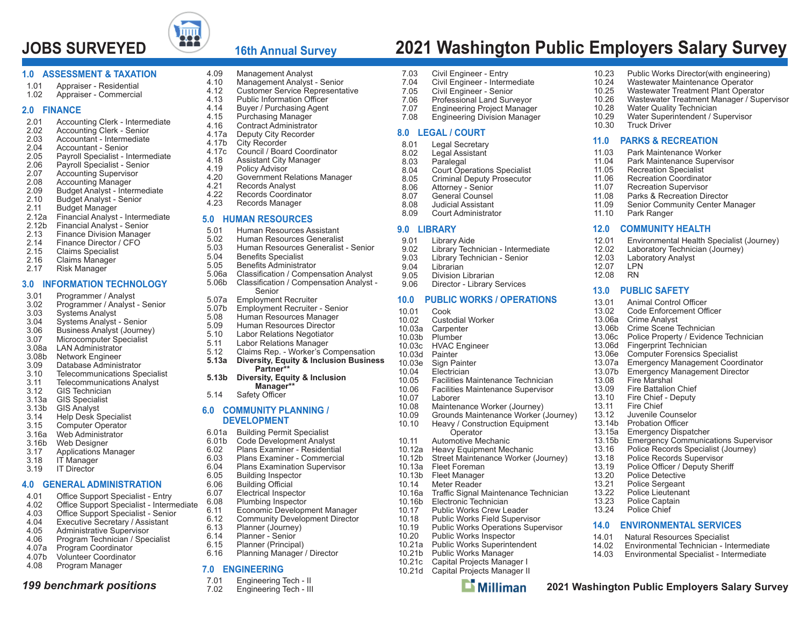# **JOBS SURVEYED 2021 Washington Public Employers Salary Survey**



### **16th Annual Survey**

#### **1.0 ASSESSMENT & TAXATION**

- 1.01 Appraiser Residential<br>1.02 Appraiser Commercia
- Appraiser Commercial

#### **2.0 FINANCE**

- 2.01 Accounting Clerk Intermediate<br>2.02 Accounting Clerk Senior
- Accounting Clerk Senior
- 2.03 Accountant Intermediate
- 2.04 Accountant Senior
- 2.05 Payroll Specialist Intermediate<br>2.06 Payroll Specialist Senior
- 2.06 Payroll Specialist Senior<br>2.07 Accounting Supervisor
- 2.07 Accounting Supervisor<br>2.08 Accounting Manager
- 2.08 Accounting Manager
- 2.09 Budget Analyst Intermediate<br>2.10 Budget Analyst Senior
- 2.10 Budget Analyst Senior<br>2.11 Budget Manager
- 2.11 Budget Manager<br>2.12a Financial Analyst
- 2.12a Financial Analyst Intermediate<br>2.12b Financial Analyst Senior
- 2.12b Financial Analyst Senior<br>2.13 Finance Division Manager
- **Finance Division Manager**
- 2.14 Finance Director / CFO
- 2.15 Claims Specialist
- 2.16 Claims Manager<br>2.17 Risk Manager
- Risk Manager

#### **3.0 INFORMATION TECHNOLOGY**

- 3.01 Programmer / Analyst<br>3.02 Programmer / Analyst
- 3.02 Programmer / Analyst Senior<br>3.03 Systems Analyst
- 3.03 Systems Analyst<br>3.04 Systems Analyst
- 3.04 Systems Analyst Senior
- 3.06 Business Analyst (Journey)
- 3.07 Microcomputer Specialist<br>3.08a LAN Administrator
- LAN Administrator
- 3.08b Network Engineer
- 3.09 Database Administrator
- 3.10 Telecommunications Specialist
- 3.11 Telecommunications Analyst<br>3.12 GIS Technician GIS Technician
- 3.13a GIS Specialist
- 
- 3.13b GIS Analyst
- 3.14 Help Desk Specialist Computer Operator
- 3.16a Web Administrator
- 3.16b Web Designer<br>3.17 Applications M
- 3.17 Applications Manager
- 3.18 IT Manager<br>3.19 IT Director
- IT Director

#### **4.0 GENERAL ADMINISTRATION**

- $4.01$ Office Support Specialist - Entry
- Office Support Specialist Intermediate 4.02
- Office Support Specialist Senior 4.03
- 4.04 Executive Secretary / Assistant
- 4.05 Administrative Supervisor
- 4.06 Program Technician / Specialist
- 4.07a Program Coordinator
- 4.07b Volunteer Coordinator
- 4.08 Program Manager
- *199 benchmark positions*
- 4.09 Management Analyst<br>4.10 Management Analyst
- 4.10 Management Analyst Senior
- 4.12 Customer Service Representative<br>4.13 Public Information Officer

7.03 Civil Engineer - Entry<br>7.04 Civil Engineer - Interr 7.04 Civil Engineer - Intermediate<br>7.05 Civil Engineer - Senior 7.05 Civil Engineer - Senior 7.06 Professional Land Surveyor 7.07 Engineering Project Manager **Engineering Division Manager** 

8.04 Court Operations Specialist<br>8.05 Criminal Deputy Prosecutor 8.05 Criminal Deputy Prosecutor<br>8.06 Attorney - Senior

9.02 Library Technician - Intermediate<br>9.03 Library Technician - Senior 9.03 Library Technician - Senior<br>9.04 Librarian Librarian 9.05 Division Librarian9.06 Director - Library Services

**10.0 PUBLIC WORKS / OPERATIONS**

 10.05 Facilities Maintenance Technician10.06 Facilities Maintenance Supervisor

10.08 Maintenance Worker (Journey)<br>10.09 Grounds Maintenance Worker ( 10.09 Grounds Maintenance Worker (Journey)<br>10.10 Heavy / Construction Foulpment Heavy / Construction Equipment

ffic Signal Maintenance Technician

 $\mathbf{\mathbf{\Sigma}}$  Milliman

**Operator** 10.11 Automotive Mechanic 10.12a Heavy Equipment Mechanic 10.12b Street Maintenance Worker (Journey)

**8.0 LEGAL / COURT**8.01 Legal Secretary<br>8.02 Legal Assistant 8.02 Legal Assistant<br>8.03 Paralegal 8.03 Paralegal

8.06 Attorney - Senior<br>8.07 General Counsel General Counsel 8.08 Judicial Assistant8.09 Court Administrator

**9.0 LIBRARY**9.01 Library Aide<br>9.02 Library Tech

10.01 Cook

10.07 Laborer

10.13a Fleet Foreman 10.13b Fleet Manager 10.14 Meter Reader

 10.16b Electronic Technician 10.17 Public Works Crew Leader 10.18 Public Works Field Supervisor 10.19 Public Works Operations Supervisor<br>10.20 Public Works Inspector Public Works Inspector 10.21a Public Works Superintendent 10.21b Public Works Manager 10.21c Capital Projects Manager I 10.21d Capital Projects Manager II

 $10.16a$ 

 10.02 Custodial Worker10.03a Carpenter Plumber 10.03c HVAC Engineer 10.03d Painter 10.03e Sign Painter 10.04 Electrician

- 4.13 Public Information Officer
- 4.14 Buyer / Purchasing Agent
- 4.15 Purchasing Manager<br>4.16 Contract Administrato
- 4.16 Contract Administrator
- 4.17a Deputy City Recorder<br>4.17b City Recorder
- 4.17b City Recorder<br>4.17c Council / Boar
	- 4.17c Council / Board Coordinator
- 4.18 Assistant City Manager
- 4.19 Policy Advisor<br>4.20 Government R
- 4.20 Government Relations Manager<br>4.21 Records Analyst
- 4.21 Records Analyst<br>4.22 Records Coordin
	- Records Coordinator
- 4.23 Records Manager

#### **5.0 HUMAN RESOURCES**

- 5.01 Human Resources Assistant
- 5.02 Human Resources Generalist
- 5.03 Human Resources Generalist Senior
- 5.04 Benefits Specialist<br>5.05 Benefits Administra
- Benefits Administrator
- 5.06a Classification / Compensation Analyst 5.06b Classification / Compensation Analyst -Senior
- 5.07a Employment Recruiter
- 
- 5.07b Employment Recruiter Senior
- 5.08 Human Resources Manager<br>5.09 Human Resources Director Human Resources Director
- 5.10 Labor Relations Negotiator
	-
- 5.11 Labor Relations Manager<br>5.12 Claims Rep. Worker's Co
- 5.12 Claims Rep. Worker's Compensation<br>**5.13a** Diversity, Equity & Inclusion Busine  **5.13a Diversity, Equity & Inclusion Business**
- **Partner\*\***
- **5.13b Diversity, Equity & Inclusion Manager\*\***
- 5.14 Safety Officer

#### **6.0 COMMUNITY PLANNING / DEVELOPMENT**

- 
- 6.01a Building Permit Specialist
- 6.01b Code Development Analyst 6.02 Plans Examiner - Residential
- 6.03 Plans Examiner Commercial

 6.11 Economic Development Manager 6.12 Community Development Director<br>6.13 Planner (Journey)

6.16 Planning Manager / Director

**2021 Washington Public Employers Salary Survey**

**14.0 ENVIRONMENTAL SERVICES**14.01 Natural Resources Specialist

14.02 Environmental Technician - Intermediate14.03 Environmental Specialist - Intermediate

10.23 Public Works Director(with engineering)<br>10.24 Wastewater Maintenance Operator 10.24 Wastewater Maintenance Operator<br>10.25 Wastewater Treatment Plant Opera 10.25 Wastewater Treatment Plant Operator 10.26 Wastewater Treatment Manager / Supervisor

12.01 Environmental Health Specialist (Journey)<br>12.02 Laboratory Technician (Journey) 12.02 Laboratory Technician (Journey)<br>12.03 Laboratory Analyst Laboratory Analyst<br>I PN

Crime Scene Technician 13.06c Police Property / Evidence Technician

13.15b Emergency Communications Supervisor<br>13.16 Police Records Specialist (Journey) Police Records Specialist (Journey)

10.28 Water Quality Technician<br>10.29 Water Superintendent / S 10.29 Water Superintendent / Supervisor

**Truck Driver 11.0 PARKS & RECREATION**11.03 Park Maintenance Worker 11.04 Park Maintenance Supervisor 11.05 Recreation Specialist<br>11.06 Recreation Coordinate Recreation Coordinator 11.07 Recreation Supervisor 11.08 Parks & Recreation Director11.09 Senior Community Center Manager

11.10 Park Ranger

**RN** 

**13.0 PUBLIC SAFETY**13.01 Animal Control Officer 13.02 Code Enforcement Officer

13.06a Crime Analyst<br>13.06b Crime Scene

13.06d Fingerprint Technician<br>13.06e Computer Forensics S 13.06e Computer Forensics Specialist<br>13.07a Emergency Management Coor 13.07a Emergency Management Coordinator<br>13.07b Emergency Management Director 13.07b Emergency Management Director<br>13.08 Fire Marshal

Fire Marshal 13.09 Fire Battalion Chief13.10 Fire Chief - Deputy<br>13.11 Fire Chief Fire Chief 13.12 Juvenile Counselor13.14b Probation Officer 13.15a Emergency Dispatcher

13.18 Police Records Supervisor<br>13.19 Police Officer / Deputy She 13.19 Police Officer / Deputy Sheriff

 13.20 Police Detective 13.21 Police Sergeant 13.22 Police Lieutenant13.23 Police Captain<br>13.24 Police Chief Police Chief

12.07

12.08

**12.0 COMMUNITY HEALTH**

- 6.04 Plans Examination Supervisor
- 6.05 Building Inspector<br>6.06 Building Official
- 6.06 Building Official
- 6.07 Electrical Inspector 6.08 Plumbing Inspector

6.13 Planner (Journey)<br>6.14 Planner - Senior Planner - Senior 6.15 Planner (Principal)

7.01 Engineering Tech - II<br>7.02 Engineering Tech - III Engineering Tech - III

**7.0 ENGINEERING**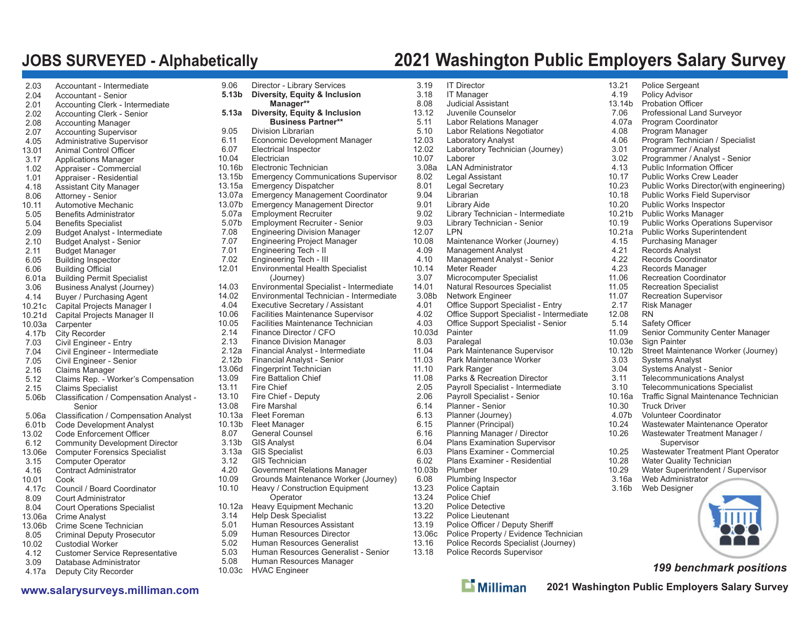# **JOBS SURVEYED - Alphabetically 2021 Washington Public Employers Salary Survey**

| 2.03           | Accountant - Intermediate                                          |
|----------------|--------------------------------------------------------------------|
| 2.04           | <b>Accountant - Senior</b>                                         |
| 2.01           | Accounting Clerk - Intermediate                                    |
| 2.02           | Accounting Clerk - Senior                                          |
| 2.08           | <b>Accounting Manager</b>                                          |
| 2.07           | <b>Accounting Supervisor</b>                                       |
| 4.05           | <b>Administrative Supervisor</b>                                   |
| 13.01          | Animal Control Officer                                             |
| 3.17           | <b>Applications Manager</b>                                        |
| 1.02           | Appraiser - Commercial                                             |
| 1.01           | Appraiser - Residential                                            |
| 4.18           | Assistant City Manager                                             |
| 8.06           | Attorney - Senior                                                  |
| 10.11          | Automotive Mechanic                                                |
| 5.05           | <b>Benefits Administrator</b>                                      |
| 5.04           | <b>Benefits Specialist</b>                                         |
| 2.09<br>2.10   | Budget Analyst - Intermediate<br><b>Budget Analyst - Senior</b>    |
| 2.11           | <b>Budget Manager</b>                                              |
| 6.05           | <b>Building Inspector</b>                                          |
| 6.06           | <b>Building Official</b>                                           |
| 6.01a          | <b>Building Permit Specialist</b>                                  |
| 3.06           | <b>Business Analyst (Journey)</b>                                  |
| 4.14           | Buyer / Purchasing Agent                                           |
| 10.21c         | Capital Projects Manager I                                         |
| 10.21d         | Capital Projects Manager II                                        |
| 10.03a         | Carpenter                                                          |
| 4.17b          | <b>City Recorder</b>                                               |
| 7.03           | Civil Engineer - Entry                                             |
| 7.04           | Civil Engineer - Intermediate                                      |
| 7.05           | Civil Engineer - Senior                                            |
| 2.16           | <b>Claims Manager</b>                                              |
| 5.12           | Claims Rep. - Worker's Compensation                                |
| 2.15           | <b>Claims Specialist</b>                                           |
| 5.06b          | Classification / Compensation Analyst -                            |
|                | Senior                                                             |
| 5.06a<br>6.01b | Classification / Compensation Analyst                              |
| 13.02          | <b>Code Development Analyst</b><br><b>Code Enforcement Officer</b> |
| 6.12           | <b>Community Development Director</b>                              |
| 13.06e         | <b>Computer Forensics Specialist</b>                               |
| 3.15           | <b>Computer Operator</b>                                           |
| 4.16           | <b>Contract Administrator</b>                                      |
| 10.01          | Cook                                                               |
| 4.17c          | Council / Board Coordinator                                        |
| 8.09           | <b>Court Administrator</b>                                         |
| 8.04           | <b>Court Operations Specialist</b>                                 |
| 13.06a         | <b>Crime Analyst</b>                                               |
| 13.06b         | Crime Scene Technician                                             |
| 8.05           | <b>Criminal Deputy Prosecutor</b>                                  |
| 10.02          | <b>Custodial Worker</b>                                            |
| 4.12           | <b>Customer Service Representative</b>                             |
| 3.09           | Database Administrator                                             |
| 4.17a          | Deputy City Recorder                                               |

| 9.06          | Director - Library Services                                    | 3.1          |
|---------------|----------------------------------------------------------------|--------------|
| 5.13b         | Diversity, Equity & Inclusion                                  | 3.1          |
|               | Manager**                                                      | 8.0          |
| 5.13a         | Diversity, Equity & Inclusion                                  | 13.1         |
|               | <b>Business Partner**</b>                                      | 5.1          |
| 9.05          | Division Librarian                                             | 5.1          |
| 6.11          | Economic Development Manager                                   | 12.0         |
| 6.07          | <b>Electrical Inspector</b>                                    | 12.0         |
| 10.04         | Electrician                                                    | 10.0         |
| 10.16b        | Electronic Technician                                          | 3.0          |
| 13.15b        | <b>Emergency Communications Supervisor</b>                     | 8.0          |
| 13.15a        | <b>Emergency Dispatcher</b>                                    | 8.0          |
| 13.07a        | <b>Emergency Management Coordinator</b>                        | 9.0          |
| 13.07b        | Emergency Management Director                                  | 9.0          |
| 5.07a         | <b>Employment Recruiter</b>                                    | 9.0          |
| 5.07b<br>7.08 | <b>Employment Recruiter - Senior</b>                           | 9.0<br>12.0  |
| 7.07          | <b>Engineering Division Manager</b>                            | 10.0         |
| 7.01          | Engineering Project Manager<br>Engineering Tech - II           | 4.0          |
| 7.02          | Engineering Tech - III                                         | 4.1          |
| 12.01         | Environmental Health Specialist                                | 10.1         |
|               | (Journey)                                                      | 3.0          |
| 14.03         | Environmental Specialist - Intermediate                        | 14.0         |
| 14.02         | Environmental Technician - Intermediate                        | 3.0          |
| 4.04          | Executive Secretary / Assistant                                | 4.0          |
| 10.06         | <b>Facilities Maintenance Supervisor</b>                       | 4.0          |
| 10.05         | Facilities Maintenance Technician                              | 4.0          |
| 2.14          | Finance Director / CFO                                         | 10.0         |
| 2.13          | <b>Finance Division Manager</b>                                | 8.0          |
| 2.12a         | Financial Analyst - Intermediate                               | 11.0         |
| 2.12b         | Financial Analyst - Senior                                     | 11.0         |
| 13.06d        | Fingerprint Technician                                         | 11.1         |
| 13.09         | <b>Fire Battalion Chief</b>                                    | 11.0         |
| 13.11         | <b>Fire Chief</b>                                              | 2.0          |
| 13.10         | Fire Chief - Deputy                                            | 2.0          |
| 13.08         | Fire Marshal                                                   | 6.1          |
| 10.13a        | <b>Fleet Foreman</b>                                           | 6.1          |
| 10.13b        | Fleet Manager                                                  | 6.1          |
| 8.07          | General Counsel                                                | 6.1          |
| 3.13b         | <b>GIS Analyst</b>                                             | 6.0          |
| 3.13a         | <b>GIS Specialist</b>                                          | 6.0          |
| 3.12          | <b>GIS Technician</b>                                          | 6.0          |
| 4.20          | <b>Government Relations Manager</b>                            | 10.0         |
| 10.09         | Grounds Maintenance Worker (Journey)                           | 6.0          |
| 10.10         | Heavy / Construction Equipment                                 | 13.2<br>13.2 |
| 10.12a        | Operator                                                       | 13.2         |
| 3.14          | <b>Heavy Equipment Mechanic</b><br><b>Help Desk Specialist</b> | 13.2         |
| 5.01          | Human Resources Assistant                                      | 13.1         |
| 5.09          | <b>Human Resources Director</b>                                | 13.0         |
| 5.02          | Human Resources Generalist                                     | 13.1         |
| 5.03          | Human Resources Generalist - Senior                            | 13.1         |
| 5.08          | Human Resources Manager                                        |              |
|               |                                                                |              |

10.03c HVAC Engineer

| 3.19              | <b>IT Director</b>                              | 13.21         | Police Sergeant                                       |
|-------------------|-------------------------------------------------|---------------|-------------------------------------------------------|
| 3.18              | <b>IT Manager</b>                               | 4.19          | <b>Policy Advisor</b>                                 |
| 8.08              | <b>Judicial Assistant</b>                       | 13.14b        | <b>Probation Officer</b>                              |
| 13.12             | Juvenile Counselor                              | 7.06          | Professional Land Surveyor                            |
| 5.11              | Labor Relations Manager                         | 4.07a         | Program Coordinator                                   |
| 5.10              | Labor Relations Negotiator                      | 4.08          | Program Manager                                       |
| 12.03             |                                                 | 4.06          | Program Technician / Specialist                       |
| 12.02             | <b>Laboratory Analyst</b>                       | 3.01          |                                                       |
| 10.07             | Laboratory Technician (Journey)<br>Laborer      | 3.02          | Programmer / Analyst<br>Programmer / Analyst - Senior |
|                   | <b>LAN Administrator</b>                        | 4.13          | <b>Public Information Officer</b>                     |
| 3.08a<br>8.02     |                                                 | 10.17         | <b>Public Works Crew Leader</b>                       |
| 8.01              | Legal Assistant<br>Legal Secretary              | 10.23         | Public Works Director(with engineering)               |
| 9.04              | Librarian                                       | 10.18         | Public Works Field Supervisor                         |
|                   |                                                 | 10.20         |                                                       |
| 9.01              | <b>Library Aide</b>                             | 10.21b        | <b>Public Works Inspector</b>                         |
| 9.02              | Library Technician - Intermediate               |               | <b>Public Works Manager</b>                           |
| 9.03              | Library Technician - Senior                     | 10.19         | <b>Public Works Operations Supervisor</b>             |
| 12.07             | <b>LPN</b>                                      | 10.21a        | Public Works Superintendent                           |
| 10.08             | Maintenance Worker (Journey)                    | 4.15<br>4.21  | <b>Purchasing Manager</b>                             |
| 4.09              | <b>Management Analyst</b>                       | 4.22          | Records Analyst                                       |
| 4.10              | Management Analyst - Senior<br>Meter Reader     | 4.23          | <b>Records Coordinator</b>                            |
| 10.14             |                                                 |               | Records Manager                                       |
| 3.07              | Microcomputer Specialist                        | 11.06         | <b>Recreation Coordinator</b>                         |
| 14.01             | Natural Resources Specialist                    | 11.05         | <b>Recreation Specialist</b>                          |
| 3.08 <sub>b</sub> | Network Engineer                                | 11.07<br>2.17 | <b>Recreation Supervisor</b>                          |
| 4.01              | Office Support Specialist - Entry               |               | Risk Manager                                          |
| 4.02              | Office Support Specialist - Intermediate        | 12.08<br>5.14 | <b>RN</b>                                             |
| 4.03              | Office Support Specialist - Senior              |               | Safety Officer                                        |
| 10.03d            | Painter                                         | 11.09         | Senior Community Center Manager                       |
| 8.03              | Paralegal                                       | 10.03e        | Sign Painter                                          |
| 11.04             | Park Maintenance Supervisor                     | 10.12b        | Street Maintenance Worker (Journey)                   |
| 11.03<br>11.10    | Park Maintenance Worker<br>Park Ranger          | 3.03<br>3.04  | Systems Analyst<br><b>Systems Analyst - Senior</b>    |
| 11.08             | Parks & Recreation Director                     | 3.11          | <b>Telecommunications Analyst</b>                     |
| 2.05              | Payroll Specialist - Intermediate               | 3.10          | <b>Telecommunications Specialist</b>                  |
| 2.06              |                                                 | 10.16a        | Traffic Signal Maintenance Technician                 |
| 6.14              | Payroll Specialist - Senior<br>Planner - Senior | 10.30         | <b>Truck Driver</b>                                   |
| 6.13              | Planner (Journey)                               | 4.07b         | <b>Volunteer Coordinator</b>                          |
| 6.15              | Planner (Principal)                             | 10.24         | Wastewater Maintenance Operator                       |
| 6.16              | Planning Manager / Director                     | 10.26         | Wastewater Treatment Manager /                        |
| 6.04              | <b>Plans Examination Supervisor</b>             |               | Supervisor                                            |
| 6.03              | Plans Examiner - Commercial                     | 10.25         | Wastewater Treatment Plant Operator                   |
| 6.02              | <b>Plans Examiner - Residential</b>             | 10.28         | Water Quality Technician                              |
| 10.03b            | Plumber                                         | 10.29         | Water Superintendent / Supervisor                     |
| 6.08              | Plumbing Inspector                              | 3.16a         | Web Administrator                                     |
| 13.23             | Police Captain                                  | 3.16b         | Web Designer                                          |
| 13.24             | Police Chief                                    |               |                                                       |
| 13.20             | <b>Police Detective</b>                         |               |                                                       |
| 13.22             | Police Lieutenant                               |               |                                                       |
| 13.19             | Police Officer / Deputy Sheriff                 |               |                                                       |
|                   |                                                 |               |                                                       |

- 13.06c Police Property / Evidence Technician
- 13.16 Police Records Specialist (Journey)
- 18 Police Records Supervisor
	- $\mathbf{L}$  Milliman

*199 benchmark positions* vater Treatment Manager / *upervisor* vater Treatment Plant Operator Quality Technician Superintendent / Supervisor **Iministrator** esigner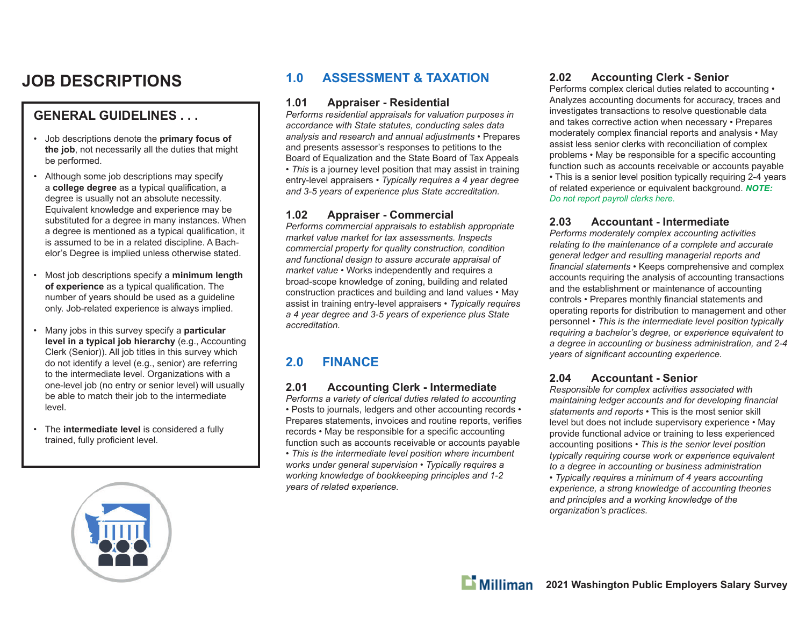# **JOB DESCRIPTIONS**

### **GENERAL GUIDELINES . . .**

- Job descriptions denote the **primary focus of the job**, not necessarily all the duties that might be performed.
- Although some job descriptions may specify a **college degree** as a typical qualification, a degree is usually not an absolute necessity. Equivalent knowledge and experience may be substituted for a degree in many instances. When a degree is mentioned as a typical qualification, it is assumed to be in a related discipline. A Bachelor's Degree is implied unless otherwise stated.
- Most job descriptions specify a **minimum length**  of experience as a typical qualification. The number of years should be used as a guideline only. Job-related experience is always implied.
- Many jobs in this survey specify a **particular level in a typical job hierarchy** (e.g., Accounting Clerk (Senior)). All job titles in this survey which do not identify a level (e.g., senior) are referring to the intermediate level. Organizations with a one-level job (no entry or senior level) will usually be able to match their job to the intermediate level.
- The **intermediate level** is considered a fully trained, fully proficient level.

### **1.0 ASSESSMENT & TAXATION**

#### **1.01 Appraiser - Residential**

*Performs residential appraisals for valuation purposes in accordance with State statutes, conducting sales data analysis and research and annual adjustments* • Prepares and presents assessor's responses to petitions to the Board of Equalization and the State Board of Tax Appeals *• This* is a journey level position that may assist in training entry-level appraisers *• Typically requires a 4 year degree and 3-5 years of experience plus State accreditation.* 

#### **1.02 Appraiser - Commercial**

*Performs commercial appraisals to establish appropriate market value market for tax assessments. Inspects commercial property for quality construction, condition and functional design to assure accurate appraisal of market value* • Works independently and requires a broad-scope knowledge of zoning, building and related construction practices and building and land values • May assist in training entry-level appraisers • *Typically requires a 4 year degree and 3-5 years of experience plus State accreditation.*

### **2.0 FINANCE**

#### **2.01 Accounting Clerk - Intermediate**

*Performs a variety of clerical duties related to accounting* • Posts to journals, ledgers and other accounting records • Prepares statements, invoices and routine reports, verifies records • May be responsible for a specific accounting function such as accounts receivable or accounts payable • *This is the intermediate level position where incumbent works under general supervision • Typically requires a working knowledge of bookkeeping principles and 1-2 years of related experience.* 

### **2.02 Accounting Clerk - Senior**

Performs complex clerical duties related to accounting • Analyzes accounting documents for accuracy, traces and investigates transactions to resolve questionable data and takes corrective action when necessary • Prepares moderately complex financial reports and analysis • May assist less senior clerks with reconciliation of complex problems • May be responsible for a specific accounting function such as accounts receivable or accounts payable • This is a senior level position typically requiring 2-4 years of related experience or equivalent background. *NOTE: Do not report payroll clerks here.*

### **2.03 Accountant - Intermediate**

*Performs moderately complex accounting activities relating to the maintenance of a complete and accurate general ledger and resulting managerial reports and*  financial statements • Keeps comprehensive and complex accounts requiring the analysis of accounting transactions and the establishment or maintenance of accounting controls • Prepares monthly financial statements and operating reports for distribution to management and other personnel • *This is the intermediate level position typically requiring a bachelor's degree, or experience equivalent to a degree in accounting or business administration, and 2-4 vears of significant accounting experience.* 

### **2.04 Accountant - Senior**

*Responsible for complex activities associated with maintaining ledger accounts and for developing financial statements and reports* • This is the most senior skill level but does not include supervisory experience • May provide functional advice or training to less experienced accounting positions • *This is the senior level position typically requiring course work or experience equivalent to a degree in accounting or business administration* 

*• Typically requires a minimum of 4 years accounting experience, a strong knowledge of accounting theories and principles and a working knowledge of the organization's practices.*



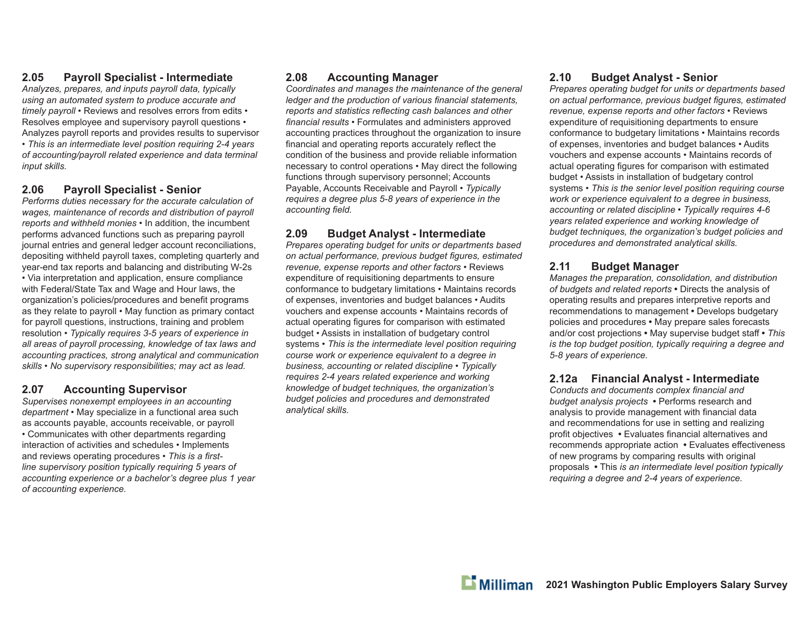### **2.05 Payroll Specialist - Intermediate**

*Analyzes, prepares, and inputs payroll data, typically using an automated system to produce accurate and timely payroll* • Reviews and resolves errors from edits • Resolves employee and supervisory payroll questions • Analyzes payroll reports and provides results to supervisor • *This is an intermediate level position requiring 2-4 years of accounting/payroll related experience and data terminal input skills.*

#### **2.06 Payroll Specialist - Senior**

*Performs duties necessary for the accurate calculation of wages, maintenance of records and distribution of payroll reports and withheld monies* • In addition, the incumbent performs advanced functions such as preparing payroll journal entries and general ledger account reconciliations, depositing withheld payroll taxes, completing quarterly and year-end tax reports and balancing and distributing W-2s • Via interpretation and application, ensure compliance with Federal/State Tax and Wage and Hour laws, the organization's policies/procedures and benefit programs as they relate to payroll • May function as primary contact for payroll questions, instructions, training and problem resolution • *Typically requires 3-5 years of experience in all areas of payroll processing, knowledge of tax laws and accounting practices, strong analytical and communication skills • No supervisory responsibilities; may act as lead.*

### **2.07 Accounting Supervisor**

*Supervises nonexempt employees in an accounting department* • May specialize in a functional area such as accounts payable, accounts receivable, or payroll • Communicates with other departments regarding interaction of activities and schedules • Implements and reviews operating procedures • This is a first*line supervisory position typically requiring 5 years of accounting experience or a bachelor's degree plus 1 year of accounting experience.*

### **2.08 Accounting Manager**

*Coordinates and manages the maintenance of the general ledger and the production of various financial statements, reports and statistics reflecting cash balances and other* financial results • Formulates and administers approved accounting practices throughout the organization to insure financial and operating reports accurately reflect the condition of the business and provide reliable information necessary to control operations • May direct the following functions through supervisory personnel; Accounts Payable, Accounts Receivable and Payroll • *Typically requires a degree plus 5-8 years of experience in the*  accounting field.

### **2.09 Budget Analyst - Intermediate**

*Prepares operating budget for units or departments based*  on actual performance, previous budget figures, estimated *revenue, expense reports and other factors* • Reviews expenditure of requisitioning departments to ensure conformance to budgetary limitations • Maintains records of expenses, inventories and budget balances • Audits vouchers and expense accounts • Maintains records of actual operating figures for comparison with estimated budget • Assists in installation of budgetary control systems • *This is the intermediate level position requiring course work or experience equivalent to a degree in business, accounting or related discipline • Typically requires 2-4 years related experience and working knowledge of budget techniques, the organization's budget policies and procedures and demonstrated analytical skills.*

### **2.10 Budget Analyst - Senior**

*Prepares operating budget for units or departments based on actual performance, previous budget fi gures, estimated revenue, expense reports and other factors* • Reviews expenditure of requisitioning departments to ensure conformance to budgetary limitations • Maintains records of expenses, inventories and budget balances • Audits vouchers and expense accounts • Maintains records of actual operating figures for comparison with estimated budget • Assists in installation of budgetary control systems • *This is the senior level position requiring course work or experience equivalent to a degree in business, accounting or related discipline • Typically requires 4-6 years related experience and working knowledge of budget techniques, the organization's budget policies and procedures and demonstrated analytical skills.*

### **2.11 Budget Manager**

*Manages the preparation, consolidation, and distribution of budgets and related reports* **•** Directs the analysis of operating results and prepares interpretive reports and recommendations to management **•** Develops budgetary policies and procedures **•** May prepare sales forecasts and/or cost projections **•** May supervise budget staff **•** *This is the top budget position, typically requiring a degree and 5-8 years of experience.*

### **2.12a Financial Analyst - Intermediate**

*Conducts and documents complex fi nancial and budget analysis projects* **•** Performs research and analysis to provide management with financial data and recommendations for use in setting and realizing profit objectives • Evaluates financial alternatives and recommends appropriate action • Evaluates effectiveness of new programs by comparing results with original proposals **•** This *is an intermediate level position typically requiring a degree and 2-4 years of experience.*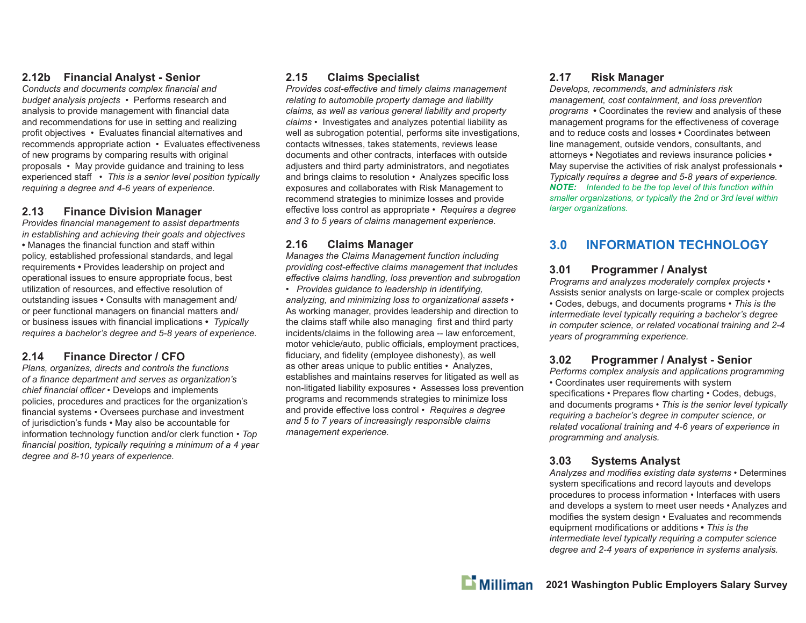### **2.12b Financial Analyst - Senior**

**Conducts and documents complex financial and** *budget analysis projects* • Performs research and analysis to provide management with financial data and recommendations for use in setting and realizing profit objectives • Evaluates financial alternatives and recommends appropriate action • Evaluates e ff ectiveness of new programs by comparing results with original proposals • May provide guidance and training to less experienced sta ff • *This is a senior level position typically requiring a degree and 4-6 years of experience.*

### **2.13 Finance Division Manager**

**Provides financial management to assist departments** *in establishing and achieving their goals and objectives* • Manages the financial function and staff within policy, established professional standards, and legal requirements **•** Provides leadership on project and operational issues to ensure appropriate focus, best utilization of resources, and effective resolution of outstanding issues **•** Consults with management and/ or peer functional managers on financial matters and/ or business issues with financial implications • *Typically requires a bachelor's degree and 5-8 years of experience.*

### **2.14 Finance Director / CFO**

*Plans, organizes, directs and controls the functions of a fi nance department and serves as organization's chief fi nancial o ffi cer* • Develops and implements policies, procedures and practices for the organization's financial systems • Oversees purchase and investment of jurisdiction's funds • May also be accountable for information technology function and/or clerk function • *Top*  financial position, typically requiring a minimum of a 4 year *degree and 8-10 years of experience.*

### **2.15 Claims Specialist**

*Provides cost-e ff ective and timely claims management relating to automobile property damage and liability claims, as well as various general liability and property claims* • Investigates and analyzes potential liability as well as subrogation potential, performs site investigations, contacts witnesses, takes statements, reviews lease documents and other contracts, interfaces with outside adjusters and third party administrators, and negotiates and brings claims to resolution • Analyzes specific loss exposures and collaborates with Risk Management to recommend strategies to minimize losses and provide <sup>e</sup>ff ective loss control as appropriate • *Requires a degree and 3 to 5 years of claims management experience.*

### **2.16 Claims Manager**

*Manages the Claims Management function including providing cost-e ff ective claims management that includes <sup>e</sup>ff ective claims handling, loss prevention and subrogation*

• *Provides guidance to leadership in identifying, analyzing, and minimizing loss to organizational assets* • As working manager, provides leadership and direction to the claims staff while also managing first and third party incidents/claims in the following area -- law enforcement, motor vehicle/auto, public o ffi cials, employment practices, fiduciary, and fidelity (employee dishonesty), as well as other areas unique to public entities • Analyzes, establishes and maintains reserves for litigated as well as non-litigated liability exposures • Assesses loss prevention programs and recommends strategies to minimize loss and provide e ff ective loss control • *Requires a degree and 5 to 7 years of increasingly responsible claims management experience.*

### **2.17 Risk Manager**

*Develops, recommends, and administers risk management, cost containment, and loss prevention programs* **•** Coordinates the review and analysis of these management programs for the effectiveness of coverage and to reduce costs and losses **•** Coordinates between line management, outside vendors, consultants, and attorneys **•** Negotiates and reviews insurance policies **•**  May supervise the activities of risk analyst professionals **•**  *Typically requires a degree and 5-8 years of experience. NOTE: Intended to be the top level of this function within smaller organizations, or typically the 2nd or 3rd level within larger organizations.*

### **3.0 INFORMATION TECHNOLOGY**

#### **3.01 Programmer / Analyst**

*Programs and analyzes moderately complex projects* • Assists senior analysts on large-scale or complex projects • Codes, debugs, and documents programs • *This is the intermediate level typically requiring a bachelor's degree in computer science, or related vocational training and 2-4 years of programming experience.*

#### **3.02 Programmer / Analyst - Senior**

*Performs complex analysis and applications programming* • Coordinates user requirements with system specifications • Prepares flow charting • Codes, debugs, and documents programs • *This is the senior level typically requiring a bachelor's degree in computer science, or related vocational training and 4-6 years of experience in programming and analysis.*

### **3.03 Systems Analyst**

Analyzes and modifies existing data systems • Determines system specifications and record layouts and develops procedures to process information • Interfaces with users and develops a system to meet user needs • Analyzes and modifies the system design • Evaluates and recommends equipment modifications or additions • This is the *intermediate level typically requiring a computer science degree and 2-4 years of experience in systems analysis.*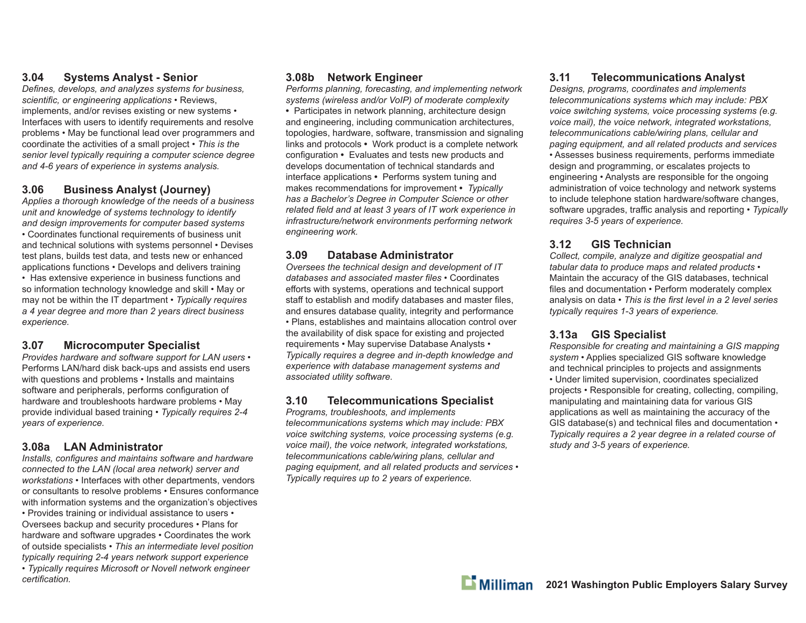### **3.04 Systems Analyst - Senior**

*Defi nes, develops, and analyzes systems for business,*  scientific, or engineering applications • Reviews, implements, and/or revises existing or new systems • Interfaces with users to identify requirements and resolve problems • May be functional lead over programmers and coordinate the activities of a small project • *This is the senior level typically requiring a computer science degree and 4-6 years of experience in systems analysis.*

### **3.06 Business Analyst (Journey)**

*Applies a thorough knowledge of the needs of a business unit and knowledge of systems technology to identify and design improvements for computer based systems* • Coordinates functional requirements of business unit and technical solutions with systems personnel • Devises test plans, builds test data, and tests new or enhanced applications functions • Develops and delivers training • Has extensive experience in business functions and so information technology knowledge and skill • May or may not be within the IT department • *Typically requires a 4 year degree and more than 2 years direct business experience.*

#### **3.07 Microcomputer Specialist**

*Provides hardware and software support for LAN users* • Performs LAN/hard disk back-ups and assists end users with questions and problems • Installs and maintains software and peripherals, performs configuration of hardware and troubleshoots hardware problems • May provide individual based training • *Typically requires 2-4 years of experience.*

#### **3.08a LAN Administrator**

*Installs, configures and maintains software and hardware connected to the LAN (local area network) server and workstations* • Interfaces with other departments, vendors or consultants to resolve problems • Ensures conformance with information systems and the organization's objectives • Provides training or individual assistance to users • Oversees backup and security procedures • Plans for hardware and software upgrades • Coordinates the work of outside specialists • *This an intermediate level position typically requiring 2-4 years network support experience* • *Typically requires Microsoft or Novell network engineer certifi cation.*

#### **3.08b Network Engineer**

*Performs planning, forecasting, and implementing network systems (wireless and/or VoIP) of moderate complexity* **•** Participates in network planning, architecture design and engineering, including communication architectures, topologies, hardware, software, transmission and signaling links and protocols **•** Work product is a complete network configuration • Evaluates and tests new products and develops documentation of technical standards and interface applications **•** Performs system tuning and makes recommendations for improvement **•** *Typically has a Bachelor's Degree in Computer Science or other*  related field and at least 3 years of IT work experience in *infrastructure/network environments performing network engineering work.*

### **3.09 Database Administrator**

*Oversees the technical design and development of IT*  databases and associated master files • Coordinates efforts with systems, operations and technical support staff to establish and modify databases and master files, and ensures database quality, integrity and performance • Plans, establishes and maintains allocation control over the availability of disk space for existing and projected requirements • May supervise Database Analysts • *Typically requires a degree and in-depth knowledge and experience with database management systems and associated utility software.*

### **3.10 Telecommunications Specialist**

*Programs, troubleshoots, and implements telecommunications systems which may include: PBX voice switching systems, voice processing systems (e.g. voice mail), the voice network, integrated workstations, telecommunications cable/wiring plans, cellular and paging equipment, and all related products and services* • *Typically requires up to 2 years of experience.* 

### **3.11 Telecommunications Analyst**

*Designs, programs, coordinates and implements telecommunications systems which may include: PBX voice switching systems, voice processing systems (e.g. voice mail), the voice network, integrated workstations, telecommunications cable/wiring plans, cellular and paging equipment, and all related products and services* • Assesses business requirements, performs immediate design and programming, or escalates projects to engineering • Analysts are responsible for the ongoing administration of voice technology and network systems to include telephone station hardware/software changes, software upgrades, tra ffi c analysis and reporting • *Typically requires 3-5 years of experience.* 

### **3.12 GIS Technician**

*Collect, compile, analyze and digitize geospatial and tabular data to produce maps and related products* • Maintain the accuracy of the GIS databases, technical files and documentation • Perform moderately complex analysis on data • *This is the first level in a 2 level series typically requires 1-3 years of experience.*

### **3.13a GIS Specialist**

*Responsible for creating and maintaining a GIS mapping system* • Applies specialized GIS software knowledge and technical principles to projects and assignments • Under limited supervision, coordinates specialized projects • Responsible for creating, collecting, compiling, manipulating and maintaining data for various GIS applications as well as maintaining the accuracy of the GIS database(s) and technical files and documentation • *Typically requires a 2 year degree in a related course of study and 3-5 years of experience.*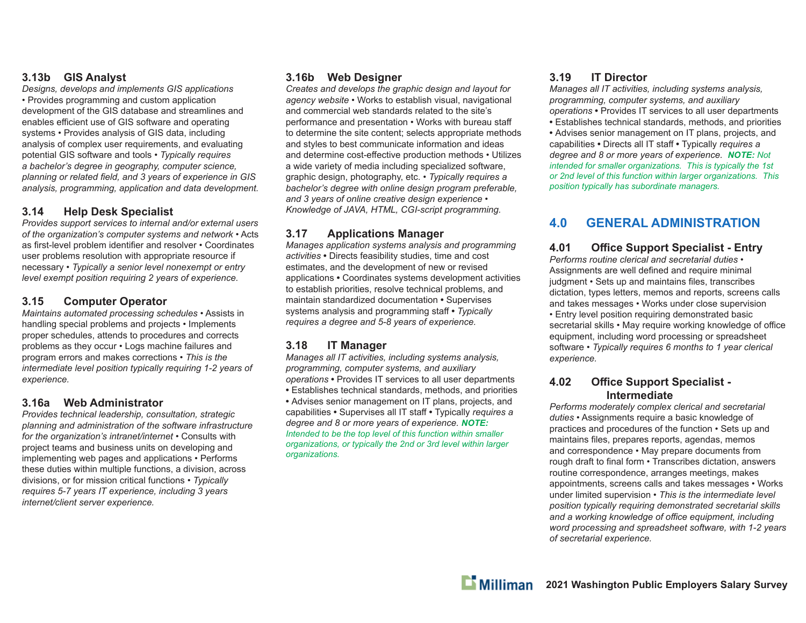### **3.13b GIS Analyst**

*Designs, develops and implements GIS applications* • Provides programming and custom application development of the GIS database and streamlines and enables efficient use of GIS software and operating systems • Provides analysis of GIS data, including analysis of complex user requirements, and evaluating potential GIS software and tools • *Typically requires a bachelor's degree in geography, computer science,*  planning or related field, and 3 years of experience in GIS *analysis, programming, application and data development.*

### **3.14 Help Desk Specialist**

*Provides support services to internal and/or external users of the organization's computer systems and network* • Acts as first-level problem identifier and resolver • Coordinates user problems resolution with appropriate resource if necessary • *Typically a senior level nonexempt or entry level exempt position requiring 2 years of experience.*

### **3.15 Computer Operator**

*Maintains automated processing schedules* • Assists in handling special problems and projects • Implements proper schedules, attends to procedures and corrects problems as they occur • Logs machine failures and program errors and makes corrections • *This is the intermediate level position typically requiring 1-2 years of experience.*

### **3.16a Web Administrator**

*Provides technical leadership, consultation, strategic planning and administration of the software infrastructure for the organization's intranet/internet* • Consults with project teams and business units on developing and implementing web pages and applications • Performs these duties within multiple functions, a division, across divisions, or for mission critical functions • *Typically requires 5-7 years IT experience, including 3 years internet/client server experience.*

### **3.16b Web Designer**

*Creates and develops the graphic design and layout for agency website* • Works to establish visual, navigational and commercial web standards related to the site's performance and presentation • Works with bureau sta ffto determine the site content; selects appropriate methods and styles to best communicate information and ideas and determine cost-effective production methods • Utilizes a wide variety of media including specialized software, graphic design, photography, etc. • *Typically requires a bachelor's degree with online design program preferable, and 3 years of online creative design experience • Knowledge of JAVA, HTML, CGI-script programming.*

### **3.17 Applications Manager**

*Manages application systems analysis and programming activities* **•** Directs feasibility studies, time and cost estimates, and the development of new or revised applications **•** Coordinates systems development activities to establish priorities, resolve technical problems, and maintain standardized documentation **•** Supervises systems analysis and programming sta ff **•** *Typically requires a degree and 5-8 years of experience.*

### **3.18 IT Manager**

*Manages all IT activities, including systems analysis, programming, computer systems, and auxiliary operations* **•** Provides IT services to all user departments **•** Establishes technical standards, methods, and priorities **•** Advises senior management on IT plans, projects, and capabilities **•** Supervises all IT sta ff **•** Typically *requires a degree and 8 or more years of experience. NOTE: Intended to be the top level of this function within smaller organizations, or typically the 2nd or 3rd level within larger organizations.*

### **3.19 IT Director**

*Manages all IT activities, including systems analysis, programming, computer systems, and auxiliary operations* **•** Provides IT services to all user departments **•** Establishes technical standards, methods, and priorities **•** Advises senior management on IT plans, projects, and capabilities **•** Directs all IT sta ff **•** Typically *requires a degree and 8 or more years of experience. NOTE: Not intended for smaller organizations. This is typically the 1st or 2nd level of this function within larger organizations. This position typically has subordinate managers.*

### **4.0 GENERAL ADMINISTRATION**

**4.01 O** *Performs routine clerical and secretarial duties* • **Office Support Specialist - Entry** Assignments are well defined and require minimal judgment • Sets up and maintains files, transcribes dictation, types letters, memos and reports, screens calls and takes messages • Works under close supervision • Entry level position requiring demonstrated basic secretarial skills • May require working knowledge of office equipment, including word processing or spreadsheet software • *Typically requires 6 months to 1 year clerical experience.*

#### **4.02 O ffi ce Support Specialist - Intermediate**

*Performs moderately complex clerical and secretarial duties* • Assignments require a basic knowledge of practices and procedures of the function • Sets up and maintains files, prepares reports, agendas, memos and correspondence • May prepare documents from rough draft to final form • Transcribes dictation, answers routine correspondence, arranges meetings, makes appointments, screens calls and takes messages • Works under limited supervision • *This is the intermediate level position typically requiring demonstrated secretarial skills and a working knowledge of o ffi ce equipment, including word processing and spreadsheet software, with 1-2 years of secretarial experience.*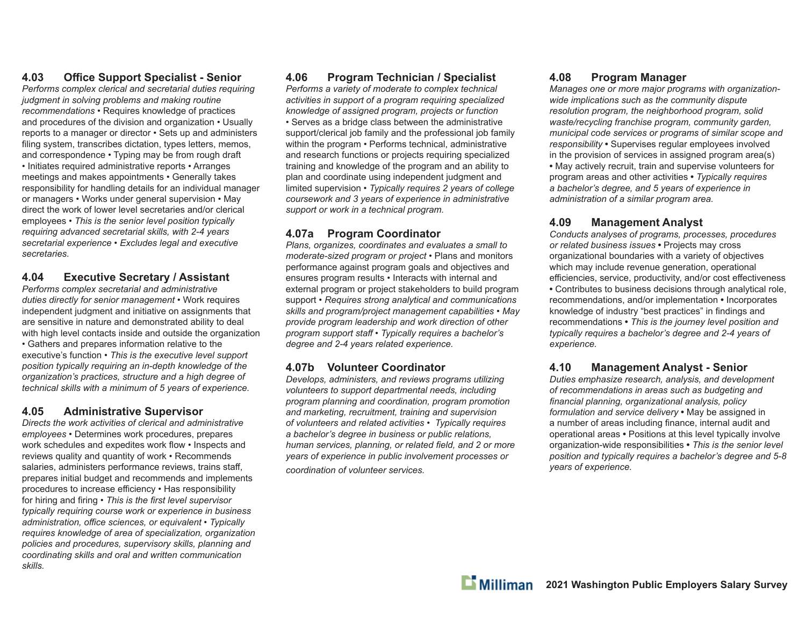### **4.03 Offi ce Support Specialist - Senior**

*Performs complex clerical and secretarial duties requiring judgment in solving problems and making routine recommendations* • Requires knowledge of practices and procedures of the division and organization • Usually reports to a manager or director • Sets up and administers filing system, transcribes dictation, types letters, memos, and correspondence • Typing may be from rough draft • Initiates required administrative reports • Arranges meetings and makes appointments • Generally takes responsibility for handling details for an individual manager or managers • Works under general supervision • May direct the work of lower level secretaries and/or clerical employees • *This is the senior level position typically requiring advanced secretarial skills, with 2-4 years secretarial experience* • *Excludes legal and executive secretaries.*

### **4.04 Executive Secretary / Assistant**

*Performs complex secretarial and administrative duties directly for senior management* • Work requires independent judgment and initiative on assignments that are sensitive in nature and demonstrated ability to deal with high level contacts inside and outside the organization • Gathers and prepares information relative to the executive's function • *This is the executive level support position typically requiring an in-depth knowledge of the organization's practices, structure and a high degree of technical skills with a minimum of 5 years of experience.*

### **4.05 Administrative Supervisor**

*Directs the work activities of clerical and administrative employees* • Determines work procedures, prepares work schedules and expedites work flow • Inspects and reviews quality and quantity of work • Recommends salaries, administers performance reviews, trains staff, prepares initial budget and recommends and implements procedures to increase efficiency • Has responsibility for hiring and firing • *This is the first level supervisor typically requiring course work or experience in business administration, offi ce sciences, or equivalent • Typically requires knowledge of area of specialization, organization policies and procedures, supervisory skills, planning and coordinating skills and oral and written communication skills.*

### **4.06 Program Technician / Specialist**

*Performs a variety of moderate to complex technical activities in support of a program requiring specialized knowledge of assigned program, projects or function* • Serves as a bridge class between the administrative support/clerical job family and the professional job family within the program • Performs technical, administrative and research functions or projects requiring specialized training and knowledge of the program and an ability to plan and coordinate using independent judgment and limited supervision • *Typically requires 2 years of college coursework and 3 years of experience in administrative support or work in a technical program.*

### **4.07a Program Coordinator**

*Plans, organizes, coordinates and evaluates a small to moderate-sized program or project* • Plans and monitors performance against program goals and objectives and ensures program results • Interacts with internal and external program or project stakeholders to build program support • *Requires strong analytical and communications skills and program/project management capabilities* • *May provide program leadership and work direction of other program support staff* • *Typically requires a bachelor's degree and 2-4 years related experience.*

### **4.07b Volunteer Coordinator**

*Develops, administers, and reviews programs utilizing volunteers to support departmental needs, including program planning and coordination, program promotion and marketing, recruitment, training and supervision of volunteers and related activities* • *Typically requires a bachelor's degree in business or public relations, human services, planning, or related field, and 2 or more years of experience in public involvement processes or* 

*coordination of volunteer services.*

### **4.08 Program Manager**

*Manages one or more major programs with organizationwide implications such as the community dispute resolution program, the neighborhood program, solid waste/recycling franchise program, community garden, municipal code services or programs of similar scope and responsibility* **•** Supervises regular employees involved in the provision of services in assigned program area(s) **•** May actively recruit, train and supervise volunteers for program areas and other activities **•** *Typically requires a bachelor's degree, and 5 years of experience in administration of a similar program area.*

### **4.09 Management Analyst**

*Conducts analyses of programs, processes, procedures or related business issues* **•** Projects may cross organizational boundaries with a variety of objectives which may include revenue generation, operational efficiencies, service, productivity, and/or cost effectiveness **•** Contributes to business decisions through analytical role, recommendations, and/or implementation **•** Incorporates knowledge of industry "best practices" in findings and recommendations **•** *This is the journey level position and typically requires a bachelor's degree and 2-4 years of experience.*

### **4.10 Management Analyst - Senior**

*Duties emphasize research, analysis, and development of recommendations in areas such as budgeting and fi nancial planning, organizational analysis, policy formulation and service delivery* **•** May be assigned in a number of areas including finance, internal audit and operational areas **•** Positions at this level typically involve organization-wide responsibilities **•** *This is the senior level position and typically requires a bachelor's degree and 5-8 years of experience.*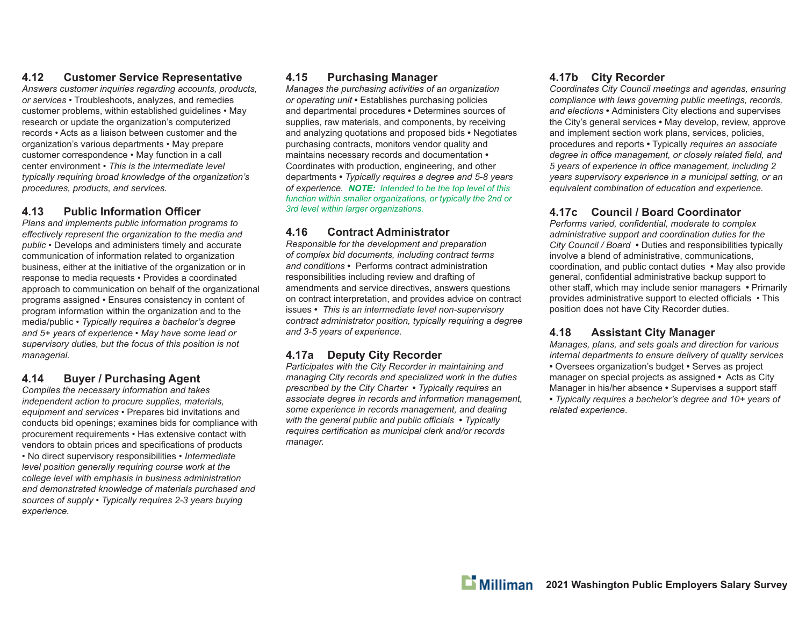### **4.12 Customer Service Representative**

*Answers customer inquiries regarding accounts, products, or services* • Troubleshoots, analyzes, and remedies customer problems, within established guidelines • May research or update the organization's computerized records • Acts as a liaison between customer and the organization's various departments • May prepare customer correspondence • May function in a call center environment • *This is the intermediate level typically requiring broad knowledge of the organization's procedures, products, and services.*

### **4.13 Public Information Offi cer**

*Plans and implements public information programs to <sup>e</sup>ff ectively represent the organization to the media and public* • Develops and administers timely and accurate communication of information related to organization business, either at the initiative of the organization or in response to media requests • Provides a coordinated approach to communication on behalf of the organizational programs assigned • Ensures consistency in content of program information within the organization and to the media/public • *Typically requires a bachelor's degree and 5+ years of experience • May have some lead or supervisory duties, but the focus of this position is not managerial.* 

### **4.14 Buyer / Purchasing Agent**

*Compiles the necessary information and takes independent action to procure supplies, materials, equipment and services* • Prepares bid invitations and conducts bid openings; examines bids for compliance with procurement requirements • Has extensive contact with vendors to obtain prices and specifications of products • No direct supervisory responsibilities • *Intermediate level position generally requiring course work at the college level with emphasis in business administration and demonstrated knowledge of materials purchased and sources of supply • Typically requires 2-3 years buying experience.*

### **4.15 Purchasing Manager**

*Manages the purchasing activities of an organization or operating unit* **•** Establishes purchasing policies and departmental procedures **•** Determines sources of supplies, raw materials, and components, by receiving and analyzing quotations and proposed bids **•** Negotiates purchasing contracts, monitors vendor quality and maintains necessary records and documentation **•**  Coordinates with production, engineering, and other departments **•** *Typically requires a degree and 5-8 years of experience. NOTE: Intended to be the top level of this function within smaller organizations, or typically the 2nd or 3rd level within larger organizations.*

### **4.16 Contract Administrator**

*Responsible for the development and preparation of complex bid documents, including contract terms and conditions* **•** Performs contract administration responsibilities including review and drafting of amendments and service directives, answers questions on contract interpretation, and provides advice on contract issues **•** *This is an intermediate level non-supervisory contract administrator position, typically requiring a degree and 3-5 years of experience.*

### **4.17a Deputy City Recorder**

*Participates with the City Recorder in maintaining and managing City records and specialized work in the duties prescribed by the City Charter* **•** *Typically requires an associate degree in records and information management, some experience in records management, and dealing with the general public and public officials • Typically requires certification as municipal clerk and/or records manager.*

### **4.17b City Recorder**

*Coordinates City Council meetings and agendas, ensuring compliance with laws governing public meetings, records, and elections* **•** Administers City elections and supervises the City's general services **•** May develop, review, approve and implement section work plans, services, policies, procedures and reports **•** Typically *requires an associate degree in office management, or closely related field, and 5 years of experience in offi ce management, including 2 years supervisory experience in a municipal setting, or an equivalent combination of education and experience.*

### **4.17c Council / Board Coordinator**

*Performs varied, confidential, moderate to complex administrative support and coordination duties for the City Council / Board* **•** Duties and responsibilities typically involve a blend of administrative, communications, coordination, and public contact duties **•** May also provide general, confidential administrative backup support to other staff, which may include senior managers • Primarily provides administrative support to elected officials • This position does not have City Recorder duties.

### **4.18 Assistant City Manager**

*Manages, plans, and sets goals and direction for various internal departments to ensure delivery of quality services*

- Oversees organization's budget Serves as project manager on special projects as assigned **•** Acts as City Manager in his/her absence **•** Supervises a support staff
- *Typically requires a bachelor's degree and 10+ years of related experience*.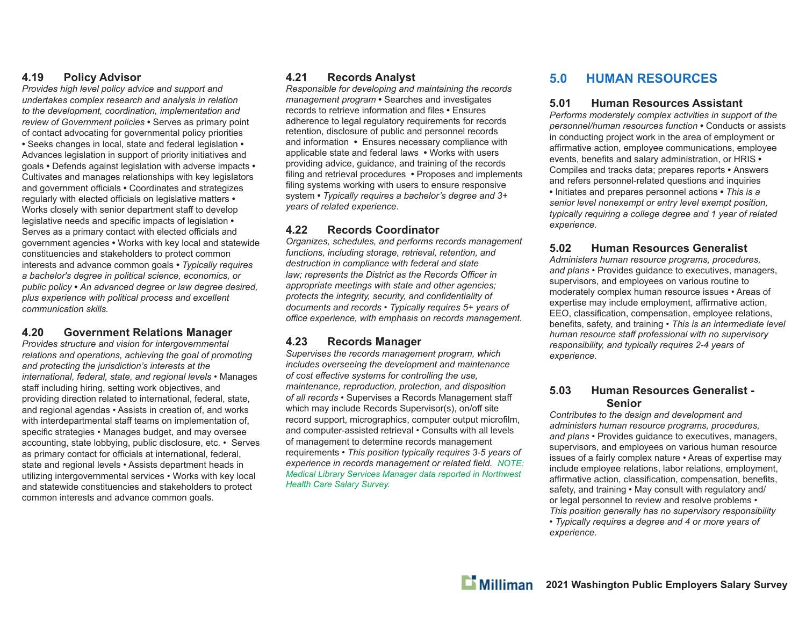### **4.19 Policy Advisor**

*Provides high level policy advice and support and undertakes complex research and analysis in relation to the development, coordination, implementation and review of Government policies* **•** Serves as primary point of contact advocating for governmental policy priorities **•** Seeks changes in local, state and federal legislation **•**  Advances legislation in support of priority initiatives and goals **•** Defends against legislation with adverse impacts **•**  Cultivates and manages relationships with key legislators and government o ffi cials **•** Coordinates and strategizes regularly with elected o ffi cials on legislative matters **•**  Works closely with senior department sta ff to develop legislative needs and specific impacts of legislation • Serves as a primary contact with elected officials and government agencies **•** Works with key local and statewide constituencies and stakeholders to protect common interests and advance common goals **•** *Typically requires a bachelor's degree in political science, economics, or public policy* **•** *An advanced degree or law degree desired, plus experience with political process and excellent communication skills.*

#### **4.20 Government Relations Manager**

*Provides structure and vision for intergovernmental relations and operations, achieving the goal of promoting and protecting the jurisdiction's interests at the international, federal, state, and regional levels* • Manages sta ff including hiring, setting work objectives, and providing direction related to international, federal, state, and regional agendas • Assists in creation of, and works with interdepartmental sta ff teams on implementation of, specific strategies • Manages budget, and may oversee accounting, state lobbying, public disclosure, etc. • Serves as primary contact for officials at international, federal, state and regional levels • Assists department heads in utilizing intergovernmental services • Works with key local and statewide constituencies and stakeholders to protect common interests and advance common goals.

### **4.21 Records Analyst**

*Responsible for developing and maintaining the records management program* **•** Searches and investigates records to retrieve information and files • Ensures adherence to legal regulatory requirements for records retention, disclosure of public and personnel records and information **•** Ensures necessary compliance with applicable state and federal laws **•** Works with users providing advice, guidance, and training of the records filing and retrieval procedures • Proposes and implements filing systems working with users to ensure responsive system **•** *Typically requires a bachelor's degree and 3+ years of related experience*.

### **4.22 Records Coordinator**

*Organizes, schedules, and performs records management functions, including storage, retrieval, retention, and destruction in compliance with federal and state law; represents the District as the Records Officer in appropriate meetings with state and other agencies;*  protects the integrity, security, and confidentiality of *documents and records • Typically requires 5+ years of <sup>o</sup>ffi ce experience, with emphasis on records management.*

### **4.23 Records Manager**

*Supervises the records management program, which includes overseeing the development and maintenance of cost e ff ective systems for controlling the use, maintenance, reproduction, protection, and disposition of all records* • Supervises a Records Management sta ffwhich may include Records Supervisor(s), on/o ff site record support, micrographics, computer output microfilm, and computer-assisted retrieval • Consults with all levels of management to determine records management requirements • *This position typically requires 3-5 years of experience in records management or related field. NOTE: Medical Library Services Manager data reported in Northwest Health Care Salary Survey.*

### **5.0 HUMAN RESOURCES**

#### **5.01 Human Resources Assistant**

*Performs moderately complex activities in support of the personnel/human resources function* **•** Conducts or assists in conducting project work in the area of employment or affirmative action, employee communications, employee events, benefits and salary administration, or HRIS • Compiles and tracks data; prepares reports **•** Answers and refers personnel-related questions and inquiries **•** Initiates and prepares personnel actions **•** *This is a senior level nonexempt or entry level exempt position, typically requiring a college degree and 1 year of related experience.*

### **5.02 Human Resources Generalist**

*Administers human resource programs, procedures, and plans* • Provides guidance to executives, managers, supervisors, and employees on various routine to moderately complex human resource issues • Areas of expertise may include employment, affirmative action, EEO, classification, compensation, employee relations, benefits, safety, and training  $\cdot$  This is an intermediate level *human resource sta ff professional with no supervisory responsibility, and typically requires 2-4 years of experience.*

#### **5.03 Human Resources Generalist - Senior**

 *Contributes to the design and development and administers human resource programs, procedures, and plans* • Provides guidance to executives, managers, supervisors, and employees on various human resource issues of a fairly complex nature • Areas of expertise may include employee relations, labor relations, employment, affirmative action, classification, compensation, benefits, safety, and training • May consult with regulatory and/ or legal personnel to review and resolve problems • *This position generally has no supervisory responsibility* 

*• Typically requires a degree and 4 or more years of experience.*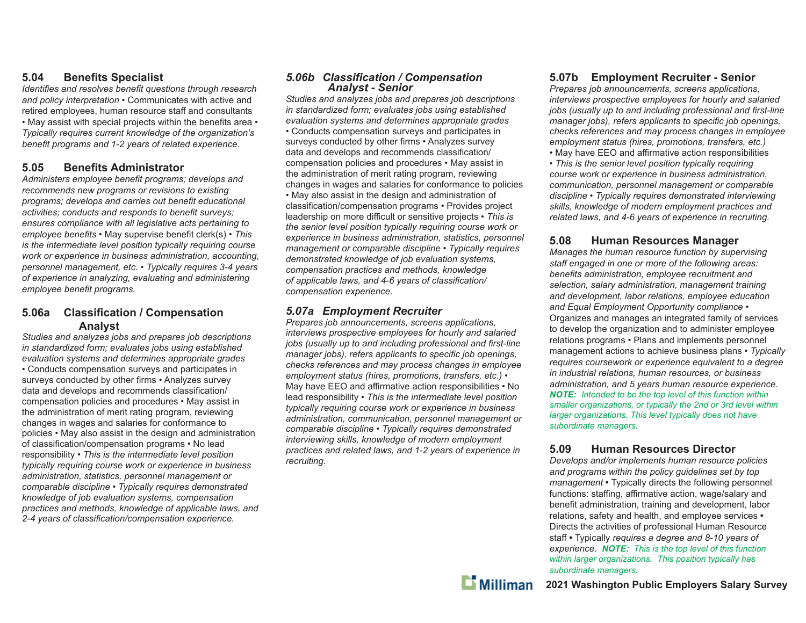### **5.04 Bene fi ts Specialist**

*Identifies and resolves benefit questions through research and policy interpretation* • Communicates with active and retired employees, human resource sta ff and consultants • May assist with special projects within the benefits area • *Typically requires current knowledge of the organization's*  benefit programs and 1-2 years of related experience.

### **5.05 Benefi ts Administrator**

Administers employee benefit programs; develops and *recommends new programs or revisions to existing programs; develops and carries out benefit educational* activities; conducts and responds to benefit surveys; *ensures compliance with all legislative acts pertaining to employee benefits* • May supervise benefit clerk(s) • This *is the intermediate level position typically requiring course work or experience in business administration, accounting, personnel management, etc. • Typically requires 3-4 years of experience in analyzing, evaluating and administering employee benefit programs.* 

### **5.06a Classi fi cation / Compensation Analyst**

*Studies and analyzes jobs and prepares job descriptions in standardized form; evaluates jobs using established evaluation systems and determines appropriate grades* • Conducts compensation surveys and participates in surveys conducted by other firms • Analyzes survey data and develops and recommends classification/ compensation policies and procedures • May assist in the administration of merit rating program, reviewing changes in wages and salaries for conformance to policies • May also assist in the design and administration of classification/compensation programs • No lead responsibility • *This is the intermediate level position typically requiring course work or experience in business administration, statistics, personnel management or comparable discipline • Typically requires demonstrated knowledge of job evaluation systems, compensation practices and methods, knowledge of applicable laws, and*  2-4 years of classification/compensation experience.

# *5.06b Classifi cation / Compensation Analyst - Senior*

*Studies and analyzes jobs and prepares job descriptions in standardized form; evaluates jobs using established evaluation systems and determines appropriate grades* • Conducts compensation surveys and participates in surveys conducted by other firms • Analyzes survey data and develops and recommends classification/ compensation policies and procedures • May assist in the administration of merit rating program, reviewing changes in wages and salaries for conformance to policies • May also assist in the design and administration of classification/compensation programs • Provides project leadership on more di ffi cult or sensitive projects • *This is the senior level position typically requiring course work or experience in business administration, statistics, personnel management or comparable discipline • Typically requires demonstrated knowledge of job evaluation systems, compensation practices and methods, knowledge*  of applicable laws, and 4-6 years of classification/ *compensation experience.*

### *5.07a Employment Recruiter*

*Prepares job announcements, screens applications, interviews prospective employees for hourly and salaried*  jobs (usually up to and including professional and first-line *manager jobs), refers applicants to specific job openings, checks references and may process changes in employee employment status (hires, promotions, transfers, etc.)* • May have EEO and affirmative action responsibilities • No lead responsibility • *This is the intermediate level position typically requiring course work or experience in business administration, communication, personnel management or comparable discipline • Typically requires demonstrated interviewing skills, knowledge of modern employment practices and related laws, and 1-2 years of experience in recruiting.*

### **5.07b Employment Recruiter - Senior**

*Prepares job announcements, screens applications, interviews prospective employees for hourly and salaried*  jobs (usually up to and including professional and first-line *manager jobs), refers applicants to specific job openings, checks references and may process changes in employee employment status (hires, promotions, transfers, etc.)*

 $\bullet$  May have EEO and affirmative action responsibilities • *This is the senior level position typically requiring course work or experience in business administration, communication, personnel management or comparable discipline • Typically requires demonstrated interviewing skills, knowledge of modern employment practices and related laws, and 4-6 years of experience in recruiting.*

### **5.08 Human Resources Manager**

*Manages the human resource function by supervising staff engaged in one or more of the following areas:*  benefits administration, employee recruitment and *selection, salary administration, management training and development, labor relations, employee education and Equal Employment Opportunity compliance* • Organizes and manages an integrated family of services to develop the organization and to administer employee relations programs • Plans and implements personnel management actions to achieve business plans • *Typically requires coursework or experience equivalent to a degree in industrial relations, human resources, or business administration, and 5 years human resource experience. NOTE: Intended to be the top level of this function within smaller organizations, or typically the 2nd or 3rd level within larger organizations. This level typically does not have subordinate managers.*

### **5.09 Human Resources Director**

*Develops and/or implements human resource policies and programs within the policy guidelines set by top management* **•** Typically directs the following personnel functions: staffing, affirmative action, wage/salary and benefit administration, training and development, labor relations, safety and health, and employee services **•**  Directs the activities of professional Human Resource sta ff **•** Typically *requires a degree and 8-10 years of experience*. *NOTE: This is the top level of this function within larger organizations. This position typically has subordinate managers.*

 $\mathbf{L}$  Milliman

**2021 Washington Public Employers Salary Survey**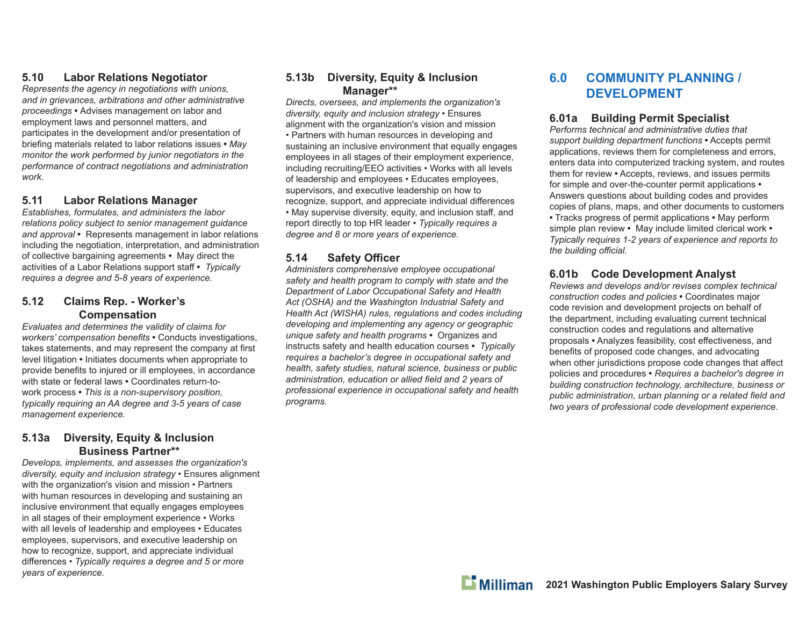### **5.10 Labor Relations Negotiator**

*Represents the agency in negotiations with unions, and in grievances, arbitrations and other administrative proceedings* **•** Advises management on labor and employment laws and personnel matters, and participates in the development and/or presentation of briefing materials related to labor relations issues • May *monitor the work performed by junior negotiators in the performance of contract negotiations and administration work.*

### **5.11 Labor Relations Manager**

*Establishes, formulates, and administers the labor relations policy subject to senior management guidance and approval* **•** Represents management in labor relations including the negotiation, interpretation, and administration of collective bargaining agreements **•** May direct the activities of a Labor Relations support sta ff **•** *Typically requires a degree and 5-8 years of experience.*

### **5.12 Claims Rep. - Worker's Compensation**

*Evaluates and determines the validity of claims for workers' compensation benefits* • Conducts investigations, takes statements, and may represent the company at first level litigation **•** Initiates documents when appropriate to provide benefits to injured or ill employees, in accordance with state or federal laws **•** Coordinates return-towork process **•** *This is a non-supervisory position, typically requiring an AA degree and 3-5 years of case management experience.*

### **5.13a Diversity, Equity & Inclusion Business Partner\*\***

*Develops, implements, and assesses the organization's diversity, equity and inclusion strategy •* Ensures alignment with the organization's vision and mission • Partners with human resources in developing and sustaining an inclusive environment that equally engages employees in all stages of their employment experience • Works with all levels of leadership and employees • Educates employees, supervisors, and executive leadership on how to recognize, support, and appreciate individual di ff erences *• Typically requires a degree and 5 or more years of experience.*

### **5.13b Diversity, Equity & Inclusion Manager\*\***

*Directs, oversees, and implements the organization's diversity, equity and inclusion strategy •* Ensures alignment with the organization's vision and mission • Partners with human resources in developing and sustaining an inclusive environment that equally engages employees in all stages of their employment experience, including recruiting/EEO activities • Works with all levels of leadership and employees • Educates employees, supervisors, and executive leadership on how to recognize, support, and appreciate individual differences • May supervise diversity, equity, and inclusion sta ff , and report directly to top HR leader • *Typically requires a degree and 8 or more years of experience.*

### **5.14 Safety O ffi cer**

*Administers comprehensive employee occupational safety and health program to comply with state and the Department of Labor Occupational Safety and Health Act (OSHA) and the Washington Industrial Safety and Health Act (WISHA) rules, regulations and codes including developing and implementing any agency or geographic unique safety and health programs* **•** Organizes and instructs safety and health education courses **•** *Typically requires a bachelor's degree in occupational safety and health, safety studies, natural science, business or public*  administration, education or allied field and 2 years of *professional experience in occupational safety and health programs.*

### **6.0 COMMUNITY PLANNING / DEVELOPMENT**

### **6.01a Building Permit Specialist**

*Performs technical and administrative duties that support building department functions* **•** Accepts permit applications, reviews them for completeness and errors, enters data into computerized tracking system, and routes them for review **•** Accepts, reviews, and issues permits for simple and over-the-counter permit applications **•** Answers questions about building codes and provides copies of plans, maps, and other documents to customers **•** Tracks progress of permit applications **•** May perform simple plan review **•** May include limited clerical work **•** *Typically requires 1-2 years of experience and reports to the building o ffi cial.*

### **6.01b Code Development Analyst**

*Reviews and develops and/or revises complex technical construction codes and policies* **•** Coordinates major code revision and development projects on behalf of the department, including evaluating current technical construction codes and regulations and alternative proposals  $\bullet$  Analyzes feasibility, cost effectiveness, and benefits of proposed code changes, and advocating when other jurisdictions propose code changes that affect policies and procedures **•** *Requires a bachelor's degree in building construction technology, architecture, business or*  public administration, urban planning or a related field and *two years of professional code development experience*.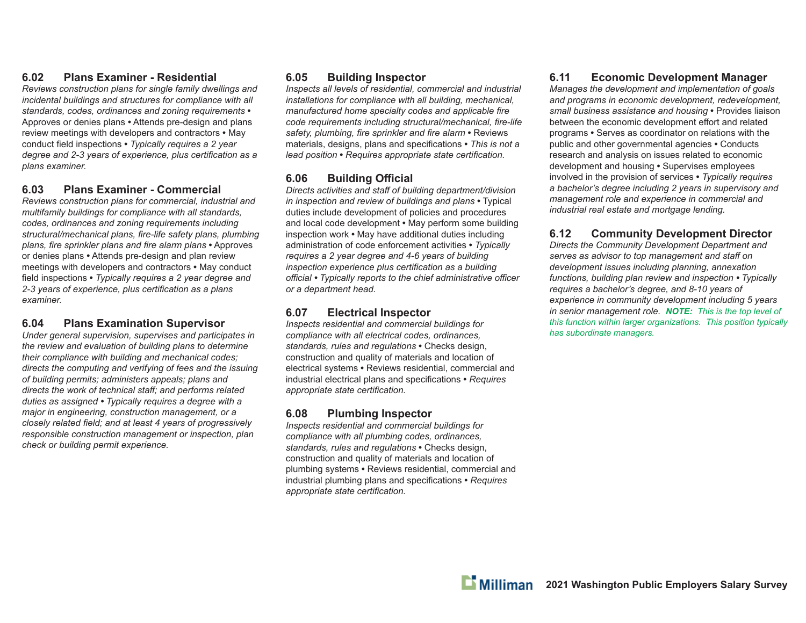### **6.02 Plans Examiner - Residential**

*Reviews construction plans for single family dwellings and incidental buildings and structures for compliance with all standards, codes, ordinances and zoning requirements* **•** Approves or denies plans **•** Attends pre-design and plans review meetings with developers and contractors **•** May conduct fi eld inspections **•** *Typically requires a 2 year degree and 2-3 years of experience, plus certification as a plans examiner.*

### **6.03 Plans Examiner - Commercial**

*Reviews construction plans for commercial, industrial and multifamily buildings for compliance with all standards, codes, ordinances and zoning requirements including*  structural/mechanical plans, fire-life safety plans, plumbing *plans, fire sprinkler plans and fire alarm plans* • Approves or denies plans **•** Attends pre-design and plan review meetings with developers and contractors **•** May conduct field inspections • *Typically requires a 2 year degree and 2-3 years of experience, plus certifi cation as a plans examiner.*

### **6.04 Plans Examination Supervisor**

*Under general supervision, supervises and participates in the review and evaluation of building plans to determine their compliance with building and mechanical codes; directs the computing and verifying of fees and the issuing of building permits; administers appeals; plans and directs the work of technical staff ; and performs related duties as assigned • Typically requires a degree with a major in engineering, construction management, or a closely related field; and at least 4 years of progressively responsible construction management or inspection, plan check or building permit experience.* 

### **6.05 Building Inspector**

*Inspects all levels of residential, commercial and industrial installations for compliance with all building, mechanical, manufactured home specialty codes and applicable fire* code requirements including structural/mechanical, fire-life safety, plumbing, fire sprinkler and fire alarm • Reviews materials, designs, plans and specifications • This is not a *lead position* • *Requires appropriate state certification.* 

### **6.06 Building Offi cial**

*Directs activities and staff of building department/division in inspection and review of buildings and plans* • Typical duties include development of policies and procedures and local code development **•** May perform some building inspection work **•** May have additional duties including administration of code enforcement activities **•** *Typically requires a 2 year degree and 4-6 years of building inspection experience plus certification as a building <sup>o</sup>ffi cial • Typically reports to the chief administrative offi cer or a department head.*

### **6.07 Electrical Inspector**

*Inspects residential and commercial buildings for compliance with all electrical codes, ordinances, standards, rules and regulations* **•** Checks design, construction and quality of materials and location of electrical systems **•** Reviews residential, commercial and industrial electrical plans and specifications • Requires *appropriate state certifi cation.*

### **6.08 Plumbing Inspector**

*Inspects residential and commercial buildings for compliance with all plumbing codes, ordinances, standards, rules and regulations* **•** Checks design, construction and quality of materials and location of plumbing systems **•** Reviews residential, commercial and industrial plumbing plans and specifications • Requires *appropriate state certifi cation.*

### **6.11 Economic Development Manager**

*Manages the development and implementation of goals and programs in economic development, redevelopment, small business assistance and housing* **•** Provides liaison between the economic development effort and related programs **•** Serves as coordinator on relations with the public and other governmental agencies **•** Conducts research and analysis on issues related to economic development and housing **•** Supervises employees involved in the provision of services **•** *Typically requires a bachelor's degree including 2 years in supervisory and management role and experience in commercial and industrial real estate and mortgage lending.*

### **6.12 Community Development Director**

*Directs the Community Development Department and serves as advisor to top management and staff on development issues including planning, annexation functions, building plan review and inspection • Typically requires a bachelor's degree, and 8-10 years of experience in community development including 5 years in senior management role. NOTE: This is the top level of this function within larger organizations. This position typically has subordinate managers.*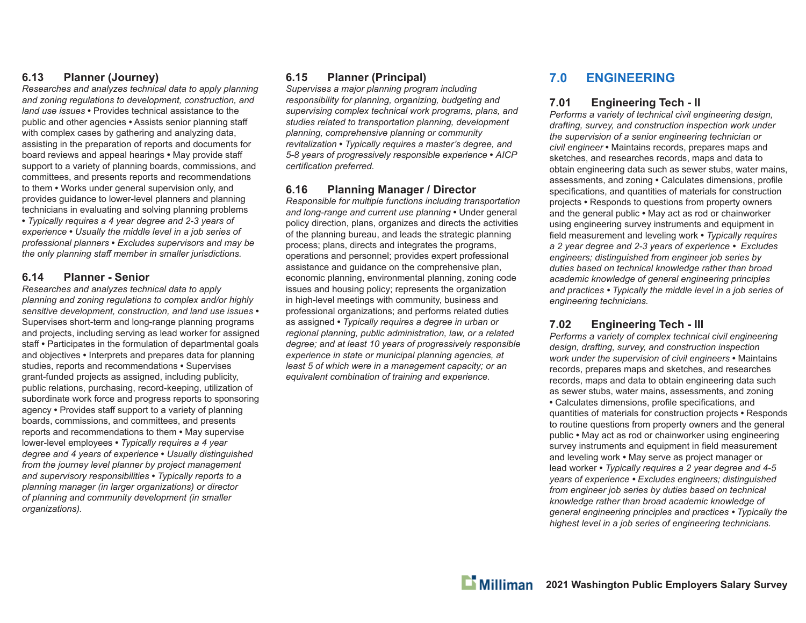### **6.13 Planner (Journey)**

*Researches and analyzes technical data to apply planning and zoning regulations to development, construction, and land use issues* **•** Provides technical assistance to the public and other agencies **•** Assists senior planning sta ffwith complex cases by gathering and analyzing data, assisting in the preparation of reports and documents for board reviews and appeal hearings **•** May provide sta ffsupport to a variety of planning boards, commissions, and committees, and presents reports and recommendations to them **•** Works under general supervision only, and provides guidance to lower-level planners and planning technicians in evaluating and solving planning problems **•** *Typically requires a 4 year degree and 2-3 years of experience* **•** *Usually the middle level in a job series of professional planners* **•** *Excludes supervisors and may be the only planning sta ff member in smaller jurisdictions.*

### **6.14 Planner - Senior**

*Researches and analyzes technical data to apply planning and zoning regulations to complex and/or highly sensitive development, construction, and land use issues* **•** Supervises short-term and long-range planning programs and projects, including serving as lead worker for assigned staff **•** Participates in the formulation of departmental goals and objectives **•** Interprets and prepares data for planning studies, reports and recommendations **•** Supervises grant-funded projects as assigned, including publicity, public relations, purchasing, record-keeping, utilization of subordinate work force and progress reports to sponsoring agency **•** Provides sta ff support to a variety of planning boards, commissions, and committees, and presents reports and recommendations to them **•** May supervise lower-level employees **•** *Typically requires a 4 year degree and 4 years of experience* **•** *Usually distinguished from the journey level planner by project management and supervisory responsibilities* **•** *Typically reports to a planning manager (in larger organizations) or director of planning and community development (in smaller organizations).* 

### **6.15 Planner (Principal)**

*Supervises a major planning program including responsibility for planning, organizing, budgeting and supervising complex technical work programs, plans, and studies related to transportation planning, development planning, comprehensive planning or community revitalization* **•** *Typically requires a master's degree, and 5-8 years of progressively responsible experience* **•** *AICP certifi cation preferred.* 

### **6.16 Planning Manager / Director**

*Responsible for multiple functions including transportation and long-range and current use planning* **•** Under general policy direction, plans, organizes and directs the activities of the planning bureau, and leads the strategic planning process; plans, directs and integrates the programs, operations and personnel; provides expert professional assistance and quidance on the comprehensive plan, economic planning, environmental planning, zoning code issues and housing policy; represents the organization in high-level meetings with community, business and professional organizations; and performs related duties as assigned **•** *Typically requires a degree in urban or regional planning, public administration, law, or a related degree; and at least 10 years of progressively responsible experience in state or municipal planning agencies, at least 5 of which were in a management capacity; or an*  equivalent combination of training and experience.

### **7.0 ENGINEERING**

### **7.01 Engineering Tech - II**

*Performs a variety of technical civil engineering design, drafting, survey, and construction inspection work under the supervision of a senior engineering technician or civil engineer* **•** Maintains records, prepares maps and sketches, and researches records, maps and data to obtain engineering data such as sewer stubs, water mains, assessments, and zoning **•** Calculates dimensions, profi le specifications, and quantities of materials for construction projects **•** Responds to questions from property owners and the general public **•** May act as rod or chainworker using engineering survey instruments and equipment in field measurement and leveling work • Typically requires *a 2 year degree and 2-3 years of experience • Excludes engineers; distinguished from engineer job series by duties based on technical knowledge rather than broad academic knowledge of general engineering principles and practices • Typically the middle level in a job series of engineering technicians.*

### **7.02 Engineering Tech - III**

*Performs a variety of complex technical civil engineering design, drafting, survey, and construction inspection work under the supervision of civil engineers* **•** Maintains records, prepares maps and sketches, and researches records, maps and data to obtain engineering data such as sewer stubs, water mains, assessments, and zoning • Calculates dimensions, profile specifications, and quantities of materials for construction projects **•** Responds to routine questions from property owners and the general public **•** May act as rod or chainworker using engineering survey instruments and equipment in field measurement and leveling work **•** May serve as project manager or lead worker **•** *Typically requires a 2 year degree and 4-5 years of experience • Excludes engineers; distinguished from engineer job series by duties based on technical knowledge rather than broad academic knowledge of general engineering principles and practices • Typically the highest level in a job series of engineering technicians.*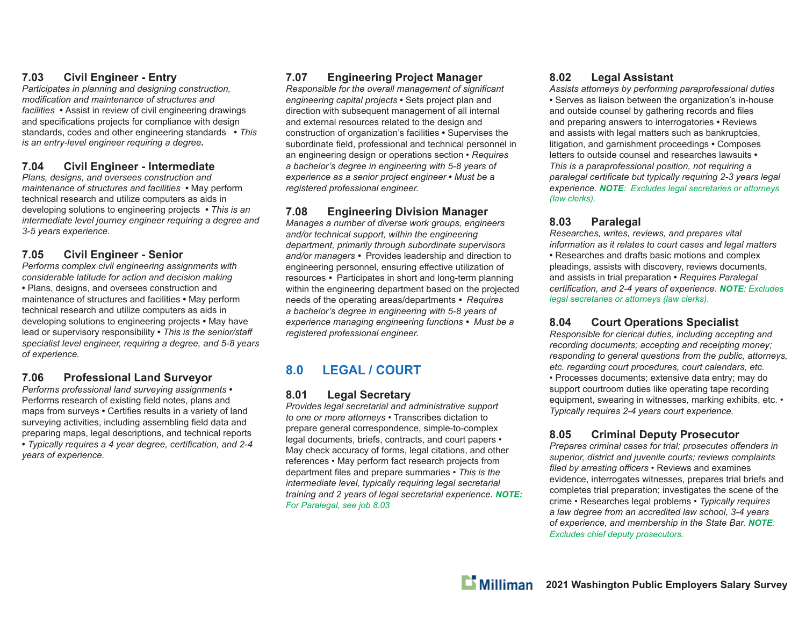### **7.03 Civil Engineer - Entry**

*Participates in planning and designing construction, modifi cation and maintenance of structures and facilities* **•** Assist in review of civil engineering drawings and specifications projects for compliance with design standards, codes and other engineering standards **•** *This is an entry-level engineer requiring a degree.*

### **7.04 Civil Engineer - Intermediate**

*Plans, designs, and oversees construction and maintenance of structures and facilities* **•** May perform technical research and utilize computers as aids in developing solutions to engineering projects **•** *This is an intermediate level journey engineer requiring a degree and 3-5 years experience.*

### **7.05 Civil Engineer - Senior**

*Performs complex civil engineering assignments with considerable latitude for action and decision making*  **•** Plans, designs, and oversees construction and maintenance of structures and facilities **•** May perform technical research and utilize computers as aids in developing solutions to engineering projects **•** May have lead or supervisory responsibility **•** *This is the senior/sta ff specialist level engineer, requiring a degree, and 5-8 years of experience.*

### **7.06 Professional Land Surveyor**

*Performs professional land surveying assignments* **•**  Performs research of existing field notes, plans and maps from surveys • Certifies results in a variety of land surveying activities, including assembling field data and preparing maps, legal descriptions, and technical reports • Typically requires a 4 year degree, certification, and 2-4 *years of experience.*

### **7.07 Engineering Project Manager**

*Responsible for the overall management of significant engineering capital projects* **•** Sets project plan and direction with subsequent management of all internal and external resources related to the design and construction of organization's facilities **•** Supervises the subordinate field, professional and technical personnel in an engineering design or operations section • *Requires a bachelor's degree in engineering with 5-8 years of experience as a senior project engineer* **•** *Must be a registered professional engineer.*

### **7.08 Engineering Division Manager**

*Manages a number of diverse work groups, engineers and/or technical support, within the engineering department, primarily through subordinate supervisors and/or managers •* Provides leadership and direction to engineering personnel, ensuring effective utilization of resources *•* Participates in short and long-term planning within the engineering department based on the projected needs of the operating areas/departments *• Requires a bachelor's degree in engineering with 5-8 years of experience managing engineering functions • Must be a registered professional engineer.*

### **8.0 LEGAL / COURT**

### **8.01 Legal Secretary**

*Provides legal secretarial and administrative support to one or more attorneys* • Transcribes dictation to prepare general correspondence, simple-to-complex legal documents, briefs, contracts, and court papers • May check accuracy of forms, legal citations, and other references • May perform fact research projects from department files and prepare summaries • This is the *intermediate level, typically requiring legal secretarial training and 2 years of legal secretarial experience. NOTE: For Paralegal, see job 8.03*

### **8.02 Legal Assistant**

*Assists attorneys by performing paraprofessional duties* **•** Serves as liaison between the organization's in-house and outside counsel by gathering records and files and preparing answers to interrogatories **•** Reviews and assists with legal matters such as bankruptcies, litigation, and garnishment proceedings **•** Composes letters to outside counsel and researches lawsuits **•**  *This is a paraprofessional position, not requiring a*  paralegal certificate but typically requiring 2-3 years legal *experience. NOTE: Excludes legal secretaries or attorneys (law clerks).* 

### **8.03 Paralegal**

*Researches, writes, reviews, and prepares vital information as it relates to court cases and legal matters* **•** Researches and drafts basic motions and complex pleadings, assists with discovery, reviews documents, and assists in trial preparation **•** *Requires Paralegal certifi cation, and 2-4 years of experience. NOTE: Excludes legal secretaries or attorneys (law clerks).*

### **8.04 Court Operations Specialist**

*Responsible for clerical duties, including accepting and recording documents; accepting and receipting money; responding to general questions from the public, attorneys, etc. regarding court procedures, court calendars, etc.*  • Processes documents; extensive data entry; may do support courtroom duties like operating tape recording equipment, swearing in witnesses, marking exhibits, etc. • *Typically requires 2-4 years court experience.*

### **8.05 Criminal Deputy Prosecutor**

*Prepares criminal cases for trial; prosecutes o ff enders in superior, district and juvenile courts; reviews complaints fi led by arresting o ffi cers* • Reviews and examines evidence, interrogates witnesses, prepares trial briefs and completes trial preparation; investigates the scene of the crime • Researches legal problems • *Typically requires a law degree from an accredited law school, 3-4 years of experience, and membership in the State Bar. NOTE: Excludes chief deputy prosecutors.*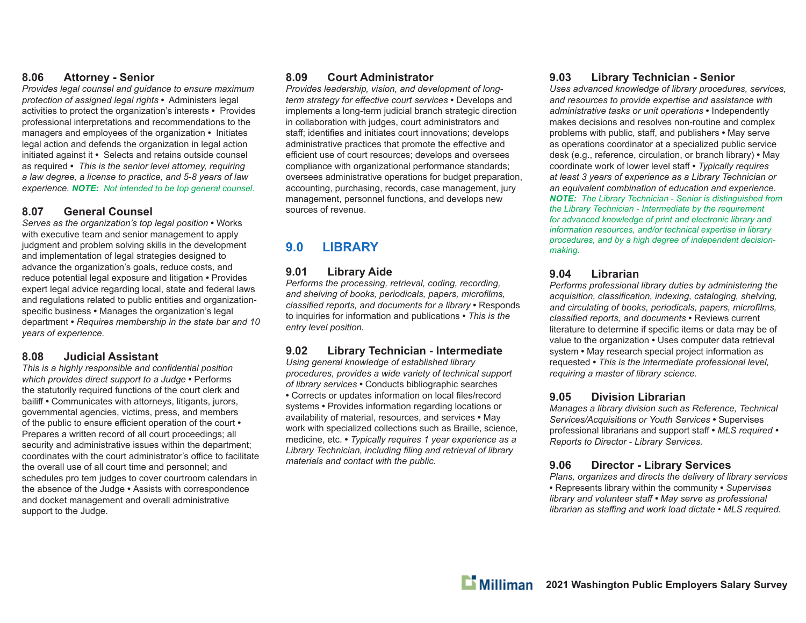### **8.06 Attorney - Senior**

*Provides legal counsel and guidance to ensure maximum protection of assigned legal rights* **•** Administers legal activities to protect the organization's interests **•** Provides professional interpretations and recommendations to the managers and employees of the organization **•** Initiates legal action and defends the organization in legal action initiated against it **•** Selects and retains outside counsel as required **•** *This is the senior level attorney, requiring a law degree, a license to practice, and 5-8 years of law experience. NOTE: Not intended to be top general counsel.*

### **8.07 General Counsel**

*Serves as the organization's top legal position* **•** Works with executive team and senior management to apply judgment and problem solving skills in the development and implementation of legal strategies designed to advance the organization's goals, reduce costs, and reduce potential legal exposure and litigation **•** Provides expert legal advice regarding local, state and federal laws and regulations related to public entities and organizationspecific business • Manages the organization's legal department **•** *Requires membership in the state bar and 10 years of experience.*

### **8.08 Judicial Assistant**

*This is a highly responsible and confidential position which provides direct support to a Judge* **•** Performs the statutorily required functions of the court clerk and baili ff **•** Communicates with attorneys, litigants, jurors, governmental agencies, victims, press, and members of the public to ensure e ffi cient operation of the court **•**  Prepares a written record of all court proceedings; all security and administrative issues within the department; coordinates with the court administrator's office to facilitate the overall use of all court time and personnel; and schedules pro tem judges to cover courtroom calendars in the absence of the Judge **•** Assists with correspondence and docket management and overall administrative support to the Judge.

### **8.09 Court Administrator**

*Provides leadership, vision, and development of longterm strategy for e ff ective court services* **•** Develops and implements a long-term judicial branch strategic direction in collaboration with judges, court administrators and staff; identifies and initiates court innovations; develops administrative practices that promote the effective and efficient use of court resources; develops and oversees compliance with organizational performance standards; oversees administrative operations for budget preparation, accounting, purchasing, records, case management, jury management, personnel functions, and develops new sources of revenue.

### **9.0 LIBRARY**

### **9.01 Library Aide**

*Performs the processing, retrieval, coding, recording,*  and shelving of books, periodicals, papers, microfilms, *classifi ed reports, and documents for a library* **•** Responds to inquiries for information and publications **•** *This is the entry level position.*

### **9.02 Library Technician - Intermediate**

*Using general knowledge of established library procedures, provides a wide variety of technical support of library services* **•** Conducts bibliographic searches • Corrects or updates information on local files/record systems **•** Provides information regarding locations or availability of material, resources, and services **•** May work with specialized collections such as Braille, science, medicine, etc. **•** *Typically requires 1 year experience as a*  Library Technician, including filing and retrieval of library *materials and contact with the public.*

### **9.03 Library Technician - Senior**

*Uses advanced knowledge of library procedures, services, and resources to provide expertise and assistance with administrative tasks or unit operations* **•** Independently makes decisions and resolves non-routine and complex problems with public, sta ff , and publishers **•** May serve as operations coordinator at a specialized public service desk (e.g., reference, circulation, or branch library) **•** May coordinate work of lower level sta ff **•** *Typically requires at least 3 years of experience as a Library Technician or an equivalent combination of education and experience. NOTE: The Library Technician - Senior is distinguished from the Library Technician - Intermediate by the requirement for advanced knowledge of print and electronic library and information resources, and/or technical expertise in library procedures, and by a high degree of independent decisionmaking.* 

### **9.04 Librarian**

*Performs professional library duties by administering the*  acquisition, classification, indexing, cataloging, shelving, and circulating of books, periodicals, papers, microfilms, *classifi ed reports, and documents* **•** Reviews current literature to determine if specific items or data may be of value to the organization **•** Uses computer data retrieval system **•** May research special project information as requested **•** *This is the intermediate professional level, requiring a master of library science.*

### **9.05 Division Librarian**

*Manages a library division such as Reference, Technical Services/Acquisitions or Youth Services* **•** Supervises professional librarians and support sta ff **•** *MLS required • Reports to Director - Library Services.*

#### **9.06 Director - Library Services**

*Plans, organizes and directs the delivery of library services* **•** Represents library within the community **•** *Supervises library and volunteer sta ff • May serve as professional librarian as staffi ng and work load dictate • MLS required.*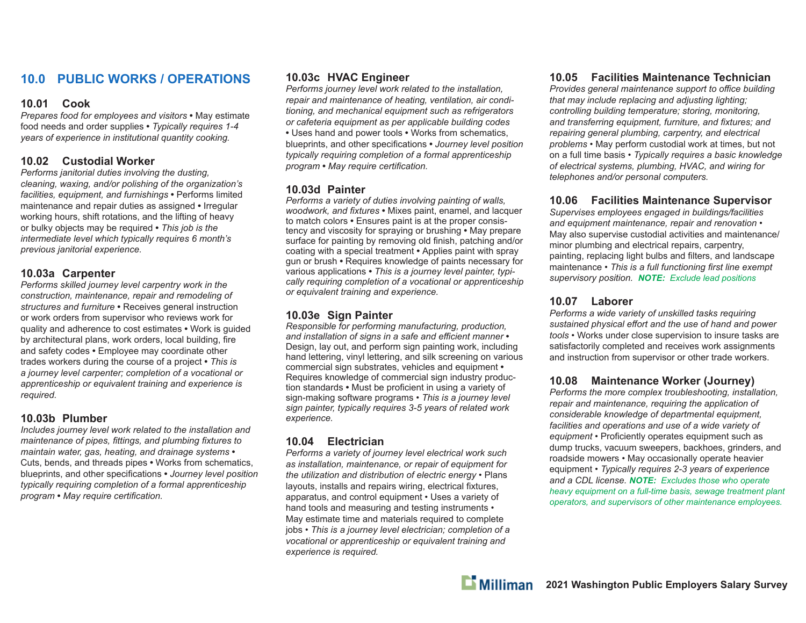### **10.0 PUBLIC WORKS / OPERATIONS**

### **10.01 Cook**

*Prepares food for employees and visitors* **•** May estimate food needs and order supplies **•** *Typically requires 1-4 years of experience in institutional quantity cooking.*

### **10.02 Custodial Worker**

*Performs janitorial duties involving the dusting, cleaning, waxing, and/or polishing of the organization's facilities, equipment, and furnishings* **•** Performs limited maintenance and repair duties as assigned **•** Irregular working hours, shift rotations, and the lifting of heavy or bulky objects may be required **•** *This job is the intermediate level which typically requires 6 month's previous janitorial experience.*

### **10.03a Carpenter**

*Performs skilled journey level carpentry work in the construction, maintenance, repair and remodeling of structures and furniture* **•** Receives general instruction or work orders from supervisor who reviews work for quality and adherence to cost estimates **•** Work is guided by architectural plans, work orders, local building, fire and safety codes **•** Employee may coordinate other trades workers during the course of a project **•** *This is a journey level carpenter; completion of a vocational or apprenticeship or equivalent training and experience is required.*

### **10.03b Plumber**

*Includes journey level work related to the installation and maintenance of pipes, fittings, and plumbing fixtures to maintain water, gas, heating, and drainage systems* **•**  Cuts, bends, and threads pipes **•** Works from schematics, blueprints, and other specifications • *Journey level position typically requiring completion of a formal apprenticeship program* • May require certification.

### **10.03c HVAC Engineer**

*Performs journey level work related to the installation, repair and maintenance of heating, ventilation, air conditioning, and mechanical equipment such as refrigerators or cafeteria equipment as per applicable building codes* **•** Uses hand and power tools **•** Works from schematics, blueprints, and other specifications • *Journey level position typically requiring completion of a formal apprenticeship program* • May require certification.

### **10.03d Painter**

*Performs a variety of duties involving painting of walls, woodwork, and fi xtures* **•** Mixes paint, enamel, and lacquer to match colors **•** Ensures paint is at the proper consistency and viscosity for spraying or brushing **•** May prepare surface for painting by removing old finish, patching and/or coating with a special treatment **•** Applies paint with spray gun or brush **•** Requires knowledge of paints necessary for various applications **•** *This is a journey level painter, typically requiring completion of a vocational or apprenticeship or equivalent training and experience.*

### **10.03e Sign Painter**

*Responsible for performing manufacturing, production, and installation of signs in a safe and e ffi cient manner* **•**  Design, lay out, and perform sign painting work, including hand lettering, vinyl lettering, and silk screening on various commercial sign substrates, vehicles and equipment **•**  Requires knowledge of commercial sign industry production standards • Must be proficient in using a variety of sign-making software programs • *This is a journey level sign painter, typically requires 3-5 years of related work experience.*

### **10.04 Electrician**

*Performs a variety of journey level electrical work such as installation, maintenance, or repair of equipment for the utilization and distribution of electric energy* • Plans layouts, installs and repairs wiring, electrical fixtures, apparatus, and control equipment • Uses a variety of hand tools and measuring and testing instruments • May estimate time and materials required to complete jobs • *This is a journey level electrician; completion of a vocational or apprenticeship or equivalent training and experience is required.*

### **10.05 Facilities Maintenance Technician**

*Provides general maintenance support to o ffi ce building that may include replacing and adjusting lighting; controlling building temperature; storing, monitoring,*  and transferring equipment, furniture, and fixtures; and *repairing general plumbing, carpentry, and electrical problems* • May perform custodial work at times, but not on a full time basis • *Typically requires a basic knowledge of electrical systems, plumbing, HVAC, and wiring for telephones and/or personal computers.*

### **10.06 Facilities Maintenance Supervisor**

*Supervises employees engaged in buildings/facilities and equipment maintenance, repair and renovation* • May also supervise custodial activities and maintenance/ minor plumbing and electrical repairs, carpentry, painting, replacing light bulbs and filters, and landscape maintenance • *This is a full functioning first line exempt supervisory position. NOTE: Exclude lead positions*

### **10.07 Laborer**

*Performs a wide variety of unskilled tasks requiring sustained physical e ff ort and the use of hand and power tools* • Works under close supervision to insure tasks are satisfactorily completed and receives work assignments and instruction from supervisor or other trade workers.

### **10.08 Maintenance Worker (Journey)**

*Performs the more complex troubleshooting, installation, repair and maintenance, requiring the application of considerable knowledge of departmental equipment, facilities and operations and use of a wide variety of*  equipment • Proficiently operates equipment such as dump trucks, vacuum sweepers, backhoes, grinders, and roadside mowers • May occasionally operate heavier equipment • *Typically requires 2-3 years of experience and a CDL license. NOTE: Excludes those who operate heavy equipment on a full-time basis, sewage treatment plant operators, and supervisors of other maintenance employees.*

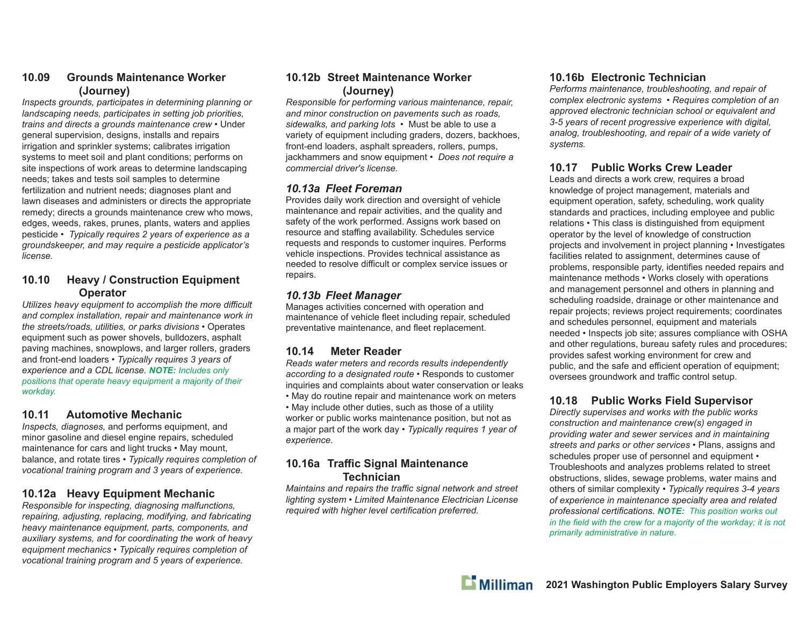### **10.09 Grounds Maintenance Worker (Journey)**

*Inspects grounds, participates in determining planning or landscaping needs, participates in setting job priorities, trains and directs a grounds maintenance crew* • Under general supervision, designs, installs and repairs irrigation and sprinkler systems; calibrates irrigation systems to meet soil and plant conditions; performs on site inspections of work areas to determine landscaping needs; takes and tests soil samples to determine fertilization and nutrient needs; diagnoses plant and lawn diseases and administers or directs the appropriate remedy; directs a grounds maintenance crew who mows, edges, weeds, rakes, prunes, plants, waters and applies pesticide • *Typically requires 2 years of experience as a groundskeeper, and may require a pesticide applicator's license.*

### **10.10 Heavy / Construction Equipment Operator**

*Utilizes heavy equipment to accomplish the more di ffi cult and complex installation, repair and maintenance work in the streets/roads, utilities, or parks divisions* • Operates equipment such as power shovels, bulldozers, asphalt paving machines, snowplows, and larger rollers, graders and front-end loaders • *Typically requires 3 years of experience and a CDL license. NOTE: Includes only positions that operate heavy equipment a majority of their workday.*

### **10.11 Automotive Mechanic**

*Inspects, diagnoses,* and performs equipment, and minor gasoline and diesel engine repairs, scheduled maintenance for cars and light trucks • May mount, balance, and rotate tires • *Typically requires completion of vocational training program and 3 years of experience.*

### **10.12a Heavy Equipment Mechanic**

*Responsible for inspecting, diagnosing malfunctions, repairing, adjusting, replacing, modifying, and fabricating heavy maintenance equipment, parts, components, and auxiliary systems, and for coordinating the work of heavy equipment mechanics* • *Typically requires completion of vocational training program and 5 years of experience.*

### **10.12b Street Maintenance Worker (Journey)**

*Responsible for performing various maintenance, repair, and minor construction on pavements such as roads, sidewalks, and parking lots* • Must be able to use a variety of equipment including graders, dozers, backhoes, front-end loaders, asphalt spreaders, rollers, pumps, jackhammers and snow equipment • *Does not require a commercial driver's license.*

### *10.13a Fleet Foreman*

Provides daily work direction and oversight of vehicle maintenance and repair activities, and the quality and safety of the work performed. Assigns work based on resource and staffing availability. Schedules service requests and responds to customer inquires. Performs vehicle inspections. Provides technical assistance as needed to resolve difficult or complex service issues or repairs.

### *10.13b Fleet Manager*

Manages activities concerned with operation and maintenance of vehicle fleet including repair, scheduled preventative maintenance, and fleet replacement.

### **10.14 Meter Reader**

*Reads water meters and records results independently according to a designated route* • Responds to customer inquiries and complaints about water conservation or leaks • May do routine repair and maintenance work on meters

• May include other duties, such as those of a utility worker or public works maintenance position, but not as a major part of the work day • *Typically requires 1 year of experience.*

### **10.16a Tra ffi c Signal Maintenance Technician**

*Maintains and repairs the tra ffi c signal network and street lighting system • Limited Maintenance Electrician License required with higher level certification preferred.* 

### **10.16b Electronic Technician**

*Performs maintenance, troubleshooting, and repair of complex electronic systems • Requires completion of an approved electronic technician school or equivalent and 3-5 years of recent progressive experience with digital, analog, troubleshooting, and repair of a wide variety of systems.*

### **10.17 Public Works Crew Leader**

Leads and directs a work crew, requires a broad knowledge of project management, materials and equipment operation, safety, scheduling, work quality standards and practices, including employee and public relations *•* This class is distinguished from equipment operator by the level of knowledge of construction projects and involvement in project planning *•* Investigates facilities related to assignment, determines cause of problems, responsible party, identifies needed repairs and maintenance methods *•* Works closely with operations and management personnel and others in planning and scheduling roadside, drainage or other maintenance and repair projects; reviews project requirements; coordinates and schedules personnel, equipment and materials needed *•* Inspects job site; assures compliance with OSHA and other regulations, bureau safety rules and procedures; provides safest working environment for crew and public, and the safe and efficient operation of equipment; oversees groundwork and traffic control setup.

### **10.18 Public Works Field Supervisor**

*Directly supervises and works with the public works construction and maintenance crew(s) engaged in providing water and sewer services and in maintaining streets and parks or other services •* Plans, assigns and schedules proper use of personnel and equipment *•*  Troubleshoots and analyzes problems related to street obstructions, slides, sewage problems, water mains and others of similar complexity *• Typically requires 3-4 years of experience in maintenance specialty area and related professional certifi cations. NOTE: This position works out in the field with the crew for a majority of the workday; it is not primarily administrative in nature.*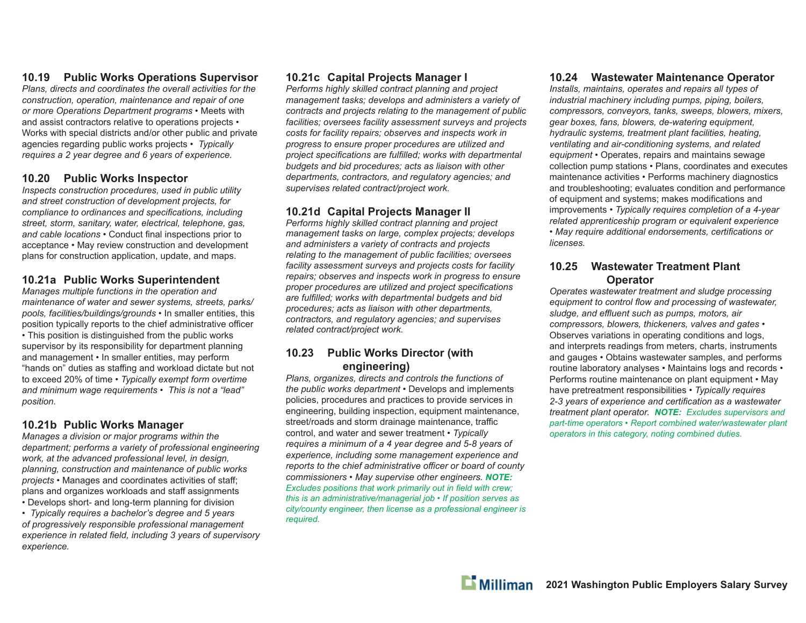### **10.19 Public Works Operations Supervisor**

*Plans, directs and coordinates the overall activities for the construction, operation, maintenance and repair of one or more Operations Department programs •* Meets with and assist contractors relative to operations projects *•*  Works with special districts and/or other public and private agencies regarding public works projects *• Typically requires a 2 year degree and 6 years of experience.*

### **10.20 Public Works Inspector**

*Inspects construction procedures, used in public utility and street construction of development projects, for compliance to ordinances and specifications, including street, storm, sanitary, water, electrical, telephone, gas,*  and cable locations • Conduct final inspections prior to acceptance *•* May review construction and development plans for construction application, update, and maps.

### **10.21a Public Works Superintendent**

*Manages multiple functions in the operation and maintenance of water and sewer systems, streets, parks/ pools, facilities/buildings/grounds •* In smaller entities, this position typically reports to the chief administrative officer *•* This position is distinguished from the public works supervisor by its responsibility for department planning and management *•* In smaller entities, may perform "hands on" duties as sta ffi ng and workload dictate but not to exceed 20% of time *• Typically exempt form overtime and minimum wage requirements • This is not a "lead" position.*

### **10.21b Public Works Manager**

*Manages a division or major programs within the department; performs a variety of professional engineering work, at the advanced professional level, in design, planning, construction and maintenance of public works projects •* Manages and coordinates activities of sta ff ; plans and organizes workloads and sta ff assignments *•* Develops short- and long-term planning for division

*• Typically requires a bachelor's degree and 5 years of progressively responsible professional management*  experience in related field, including 3 years of supervisory *experience.*

### **10.21c Capital Projects Manager I**

*Performs highly skilled contract planning and project management tasks; develops and administers a variety of contracts and projects relating to the management of public facilities; oversees facility assessment surveys and projects costs for facility repairs; observes and inspects work in progress to ensure proper procedures are utilized and*  project specifications are fulfilled; works with departmental *budgets and bid procedures; acts as liaison with other departments, contractors, and regulatory agencies; and supervises related contract/project work.*

### **10.21d Capital Projects Manager II**

*Performs highly skilled contract planning and project management tasks on large, complex projects; develops and administers a variety of contracts and projects relating to the management of public facilities; oversees facility assessment surveys and projects costs for facility repairs; observes and inspects work in progress to ensure proper procedures are utilized and project specifications* are fulfilled; works with departmental budgets and bid *procedures; acts as liaison with other departments, contractors, and regulatory agencies; and supervises related contract/project work.*

### **10.23 Public Works Director (with engineering)**

*Plans, organizes, directs and controls the functions of the public works department •* Develops and implements policies, procedures and practices to provide services in engineering, building inspection, equipment maintenance, street/roads and storm drainage maintenance, traffic control, and water and sewer treatment *• Typically requires a minimum of a 4 year degree and 5-8 years of experience, including some management experience and reports to the chief administrative o ffi cer or board of county commissioners • May supervise other engineers. NOTE: Excludes positions that work primarily out in field with crew; this is an administrative/managerial job • If position serves as city/county engineer, then license as a professional engineer is required.*

### **10.24 Wastewater Maintenance Operator**

*Installs, maintains, operates and repairs all types of industrial machinery including pumps, piping, boilers, compressors, conveyors, tanks, sweeps, blowers, mixers, gear boxes, fans, blowers, de-watering equipment, hydraulic systems, treatment plant facilities, heating, ventilating and air-conditioning systems, and related equipment •* Operates, repairs and maintains sewage collection pump stations *•* Plans, coordinates and executes maintenance activities *•* Performs machinery diagnostics and troubleshooting; evaluates condition and performance of equipment and systems; makes modifications and improvements *• Typically requires completion of a 4-year related apprenticeship program or equivalent experience*  • May require additional endorsements, certifications or *licenses.*

### **10.25 Wastewater Treatment Plant Operator**

*Operates wastewater treatment and sludge processing equipment to control flow and processing of wastewater, sludge, and e ffl uent such as pumps, motors, air compressors, blowers, thickeners, valves and gates •*  Observes variations in operating conditions and logs, and interprets readings from meters, charts, instruments and gauges *•* Obtains wastewater samples, and performs routine laboratory analyses *•* Maintains logs and records *•*  Performs routine maintenance on plant equipment *•* May have pretreatment responsibilities *• Typically requires*  2-3 years of experience and certification as a wastewater *treatment plant operator. NOTE: Excludes supervisors and part-time operators • Report combined water/wastewater plant operators in this category, noting combined duties.*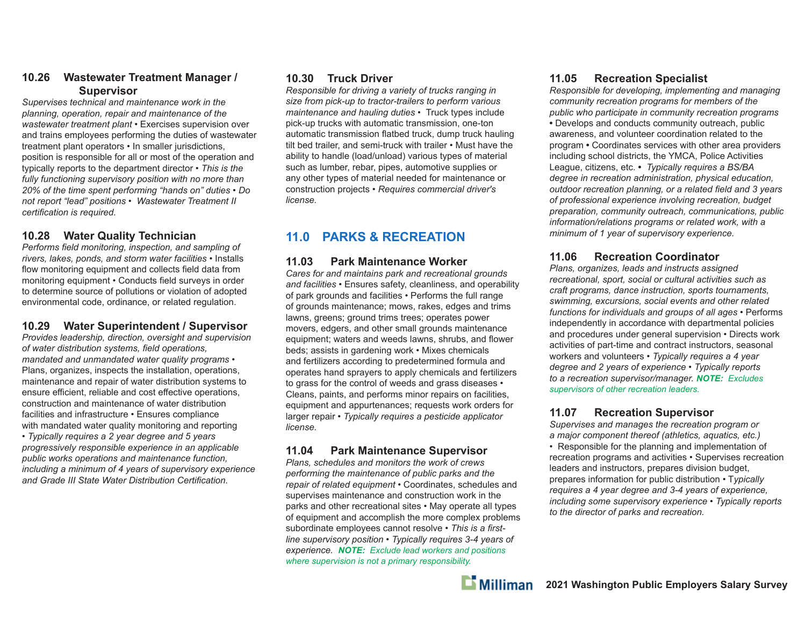### **10.26 Wastewater Treatment Manager / Supervisor**

*Supervises technical and maintenance work in the planning, operation, repair and maintenance of the wastewater treatment plant •* Exercises supervision over and trains employees performing the duties of wastewater treatment plant operators *•* In smaller jurisdictions, position is responsible for all or most of the operation and typically reports to the department director *• This is the fully functioning supervisory position with no more than 20% of the time spent performing "hands on" duties • Do not report "lead" positions • Wastewater Treatment II certification is required.* 

### **10.28 Water Quality Technician**

*Performs field monitoring, inspection, and sampling of rivers, lakes, ponds, and storm water facilities •* Installs flow monitoring equipment and collects field data from monitoring equipment • Conducts field surveys in order to determine source of pollutions or violation of adopted environmental code, ordinance, or related regulation.

### **10.29 Water Superintendent / Supervisor**

*Provides leadership, direction, oversight and supervision of water distribution systems, field operations, mandated and unmandated water quality programs •*  Plans, organizes, inspects the installation, operations, maintenance and repair of water distribution systems to ensure efficient, reliable and cost effective operations, construction and maintenance of water distribution facilities and infrastructure *•* Ensures compliance with mandated water quality monitoring and reporting *• Typically requires a 2 year degree and 5 years progressively responsible experience in an applicable public works operations and maintenance function, including a minimum of 4 years of supervisory experience*  and Grade *III State Water Distribution Certification*.

### **10.30 Truck Driver**

*Responsible for driving a variety of trucks ranging in size from pick-up to tractor-trailers to perform various maintenance and hauling duties •* Truck types include pick-up trucks with automatic transmission, one-ton automatic transmission flatbed truck, dump truck hauling tilt bed trailer, and semi-truck with trailer *•* Must have the ability to handle (load/unload) various types of material such as lumber, rebar, pipes, automotive supplies or any other types of material needed for maintenance or construction projects *• Requires commercial driver's license.*

## **11.0 PARKS & RECREATION**

### **11.03 Park Maintenance Worker**

*Cares for and maintains park and recreational grounds and facilities* • Ensures safety, cleanliness, and operability of park grounds and facilities • Performs the full range of grounds maintenance; mows, rakes, edges and trims lawns, greens; ground trims trees; operates power movers, edgers, and other small grounds maintenance equipment; waters and weeds lawns, shrubs, and flower beds; assists in gardening work • Mixes chemicals and fertilizers according to predetermined formula and operates hand sprayers to apply chemicals and fertilizers to grass for the control of weeds and grass diseases • Cleans, paints, and performs minor repairs on facilities, equipment and appurtenances; requests work orders for larger repair • *Typically requires a pesticide applicator license.*

### **11.04 Park Maintenance Supervisor**

*Plans, schedules and monitors the work of crews performing the maintenance of public parks and the repair of related equipment* • Coordinates, schedules and supervises maintenance and construction work in the parks and other recreational sites • May operate all types of equipment and accomplish the more complex problems subordinate employees cannot resolve • This is a first*line supervisory position* • *Typically requires 3-4 years of experience. NOTE: Exclude lead workers and positions where supervision is not a primary responsibility.*

### **11.05 Recreation Specialist**

*Responsible for developing, implementing and managing community recreation programs for members of the public who participate in community recreation programs* **•** Develops and conducts community outreach, public awareness, and volunteer coordination related to the program **•** Coordinates services with other area providers including school districts, the YMCA, Police Activities League, citizens, etc. **•** *Typically requires a BS/BA degree in recreation administration, physical education,*  outdoor recreation planning, or a related field and 3 years *of professional experience involving recreation, budget preparation, community outreach, communications, public information/relations programs or related work, with a minimum of 1 year of supervisory experience.* 

### **11.06 Recreation Coordinator**

*Plans, organizes, leads and instructs assigned recreational, sport, social or cultural activities such as craft programs, dance instruction, sports tournaments, swimming, excursions, social events and other related functions for individuals and groups of all ages* • Performs independently in accordance with departmental policies and procedures under general supervision • Directs work activities of part-time and contract instructors, seasonal workers and volunteers • *Typically requires a 4 year degree and 2 years of experience* • *Typically reports to a recreation supervisor/manager. NOTE: Excludes supervisors of other recreation leaders.*

### **11.07 Recreation Supervisor**

*Supervises and manages the recreation program or a major component thereof (athletics, aquatics, etc.)*

• Responsible for the planning and implementation of recreation programs and activities • Supervises recreation leaders and instructors, prepares division budget, prepares information for public distribution • T*ypically requires a 4 year degree and 3-4 years of experience, including some supervisory experience* • *Typically reports to the director of parks and recreation.*

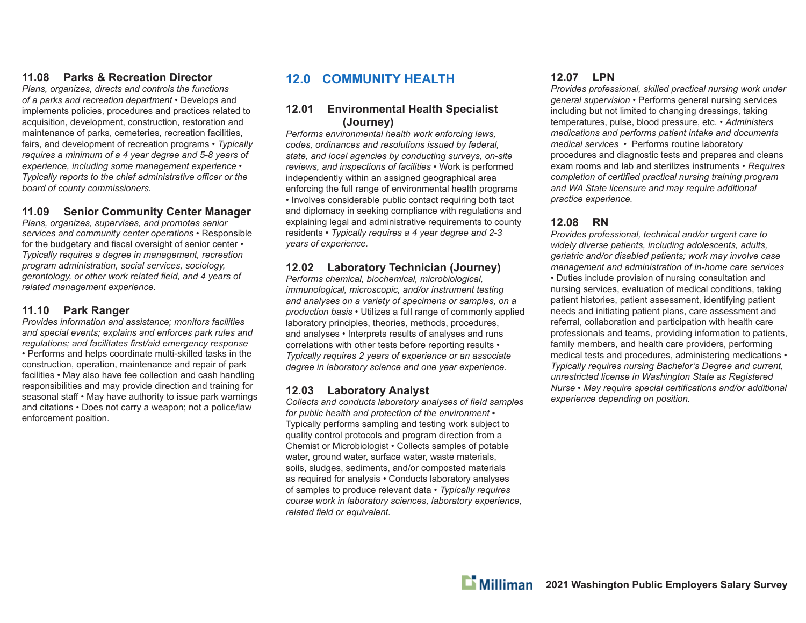### **11.08 Parks & Recreation Director**

*Plans, organizes, directs and controls the functions of a parks and recreation department* • Develops and implements policies, procedures and practices related to acquisition, development, construction, restoration and maintenance of parks, cemeteries, recreation facilities, fairs, and development of recreation programs • *Typically requires a minimum of a 4 year degree and 5-8 years of experience, including some management experience • Typically reports to the chief administrative officer or the board of county commissioners.*

### **11.09 Senior Community Center Manager**

*Plans, organizes, supervises, and promotes senior services and community center operations* • Responsible for the budgetary and fiscal oversight of senior center • *Typically requires a degree in management, recreation program administration, social services, sociology, gerontology, or other work related field, and 4 years of related management experience.*

#### **11.10 Park Ranger**

*Provides information and assistance; monitors facilities and special events; explains and enforces park rules and regulations; and facilitates fi rst/aid emergency response*  • Performs and helps coordinate multi-skilled tasks in the construction, operation, maintenance and repair of park facilities • May also have fee collection and cash handling responsibilities and may provide direction and training for seasonal staff • May have authority to issue park warnings and citations • Does not carry a weapon; not a police/law enforcement position.

### **12.0 COMMUNITY HEALTH**

#### **12.01 Environmental Health Specialist (Journey)**

*Performs environmental health work enforcing laws, codes, ordinances and resolutions issued by federal, state, and local agencies by conducting surveys, on-site reviews, and inspections of facilities* • Work is performed independently within an assigned geographical area enforcing the full range of environmental health programs • Involves considerable public contact requiring both tact and diplomacy in seeking compliance with regulations and explaining legal and administrative requirements to county residents • *Typically requires a 4 year degree and 2-3 years of experience.*

### **12.02 Laboratory Technician (Journey)**

*Performs chemical, biochemical, microbiological, immunological, microscopic, and/or instrument testing and analyses on a variety of specimens or samples, on a production basis* • Utilizes a full range of commonly applied laboratory principles, theories, methods, procedures, and analyses • Interprets results of analyses and runs correlations with other tests before reporting results • *Typically requires 2 years of experience or an associate degree in laboratory science and one year experience.*

### **12.03 Laboratory Analyst**

Collects and conducts *laboratory analyses of field samples for public health and protection of the environment* • Typically performs sampling and testing work subject to quality control protocols and program direction from a Chemist or Microbiologist • Collects samples of potable water, ground water, surface water, waste materials, soils, sludges, sediments, and/or composted materials as required for analysis • Conducts laboratory analyses of samples to produce relevant data • *Typically requires course work in laboratory sciences, laboratory experience, related field or equivalent.* 

### **12.07 LPN**

*Provides professional, skilled practical nursing work under general supervision* • Performs general nursing services including but not limited to changing dressings, taking temperatures, pulse, blood pressure, etc. • *Administers medications and performs patient intake and documents medical services •* Performs routine laboratory procedures and diagnostic tests and prepares and cleans exam rooms and lab and sterilizes instruments • *Requires completion of certified practical nursing training program and WA State licensure and may require additional practice experience.*

### **12.08 RN**

*Provides professional, technical and/or urgent care to widely diverse patients, including adolescents, adults, geriatric and/or disabled patients; work may involve case management and administration of in-home care services*  • Duties include provision of nursing consultation and nursing services, evaluation of medical conditions, taking patient histories, patient assessment, identifying patient needs and initiating patient plans, care assessment and referral, collaboration and participation with health care professionals and teams, providing information to patients, family members, and health care providers, performing medical tests and procedures, administering medications • *Typically requires nursing Bachelor's Degree and current, unrestricted license in Washington State as Registered Nurse* • *May require special certifications and/or additional experience depending on position.*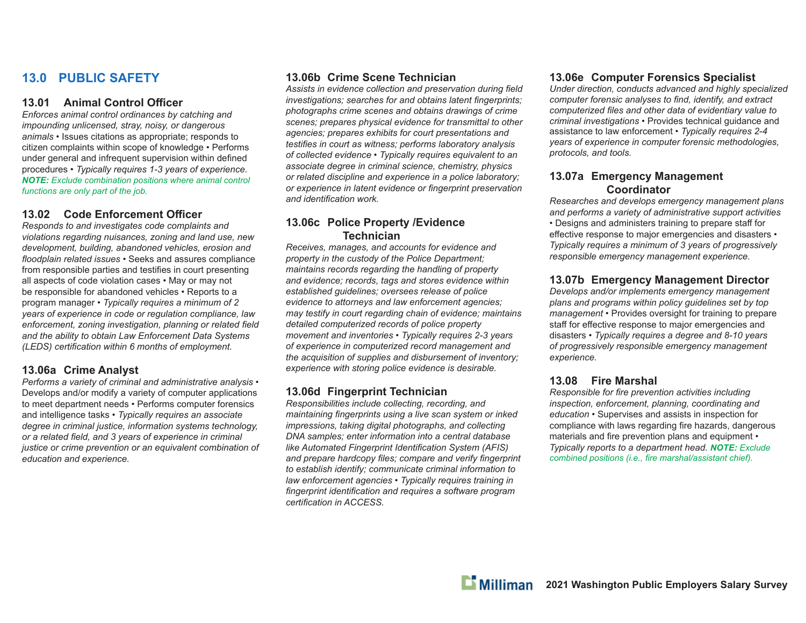### **13.0 PUBLIC SAFETY**

#### **13.01 Animal Control Offi cer**

*Enforces animal control ordinances by catching and impounding unlicensed, stray, noisy, or dangerous animals* • Issues citations as appropriate; responds to citizen complaints within scope of knowledge • Performs under general and infrequent supervision within defined procedures • *Typically requires 1-3 years of experience. NOTE: Exclude combination positions where animal control functions are only part of the job.*

### **13.02 Code Enforcement Offi cer**

*Responds to and investigates code complaints and violations regarding nuisances, zoning and land use, new development, building, abandoned vehicles, erosion and fl oodplain related issues* • Seeks and assures compliance from responsible parties and testifies in court presenting all aspects of code violation cases • May or may not be responsible for abandoned vehicles • Reports to a program manager • *Typically requires a minimum of 2 years of experience in code or regulation compliance, law enforcement, zoning investigation, planning or related field and the ability to obtain Law Enforcement Data Systems (LEDS)* certification within 6 months of employment.

#### **13.06a Crime Analyst**

*Performs a variety of criminal and administrative analysis* • Develops and/or modify a variety of computer applications to meet department needs • Performs computer forensics and intelligence tasks • *Typically requires an associate degree in criminal justice, information systems technology, or a related fi eld, and 3 years of experience in criminal justice or crime prevention or an equivalent combination of education and experience.*

#### **13.06b Crime Scene Technician**

Assists in evidence collection and preservation during field *investigations; searches for and obtains latent fingerprints; photographs crime scenes and obtains drawings of crime scenes; prepares physical evidence for transmittal to other agencies; prepares exhibits for court presentations and testifies in court as witness; performs laboratory analysis of collected evidence* • *Typically requires equivalent to an associate degree in criminal science, chemistry, physics or related discipline and experience in a police laboratory; or experience in latent evidence or fi ngerprint preservation*  and *identification* work.

#### **13.06c Police Property /Evidence Technician**

*Receives, manages, and accounts for evidence and property in the custody of the Police Department; maintains records regarding the handling of property and evidence; records, tags and stores evidence within established guidelines; oversees release of police evidence to attorneys and law enforcement agencies; may testify in court regarding chain of evidence; maintains detailed computerized records of police property movement and inventories • Typically requires 2-3 years of experience in computerized record management and the acquisition of supplies and disbursement of inventory; experience with storing police evidence is desirable.*

### **13.06d Fingerprint Technician**

*Responsibilities include collecting, recording, and maintaining fingerprints using a live scan system or inked impressions, taking digital photographs, and collecting DNA samples; enter information into a central database like Automated Fingerprint Identification System (AFIS)* and prepare hardcopy files; compare and verify fingerprint *to establish identify; communicate criminal information to law enforcement agencies • Typically requires training in*  fingerprint identification and requires a software program *certification in ACCESS.* 

### **13.06e Computer Forensics Specialist**

*Under direction, conducts advanced and highly specialized computer forensic analyses to find, identify, and extract computerized fi les and other data of evidentiary value to criminal investigations* • Provides technical guidance and assistance to law enforcement • *Typically requires 2-4 years of experience in computer forensic methodologies, protocols, and tools.*

#### **13.07a Emergency Management Coordinator**

*Researches and develops emergency management plans and performs a variety of administrative support activities* • Designs and administers training to prepare staff for effective response to major emergencies and disasters • *Typically requires a minimum of 3 years of progressively responsible emergency management experience.*

### **13.07b Emergency Management Director**

*Develops and/or implements emergency management plans and programs within policy guidelines set by top management* • Provides oversight for training to prepare staff for effective response to major emergencies and disasters • *Typically requires a degree and 8-10 years of progressively responsible emergency management experience.*

#### **13.08 Fire Marshal**

*Responsible for fire prevention activities including inspection, enforcement, planning, coordinating and education* • Supervises and assists in inspection for compliance with laws regarding fire hazards, dangerous materials and fire prevention plans and equipment • *Typically reports to a department head. NOTE: Exclude combined positions (i.e., fire marshal/assistant chief).*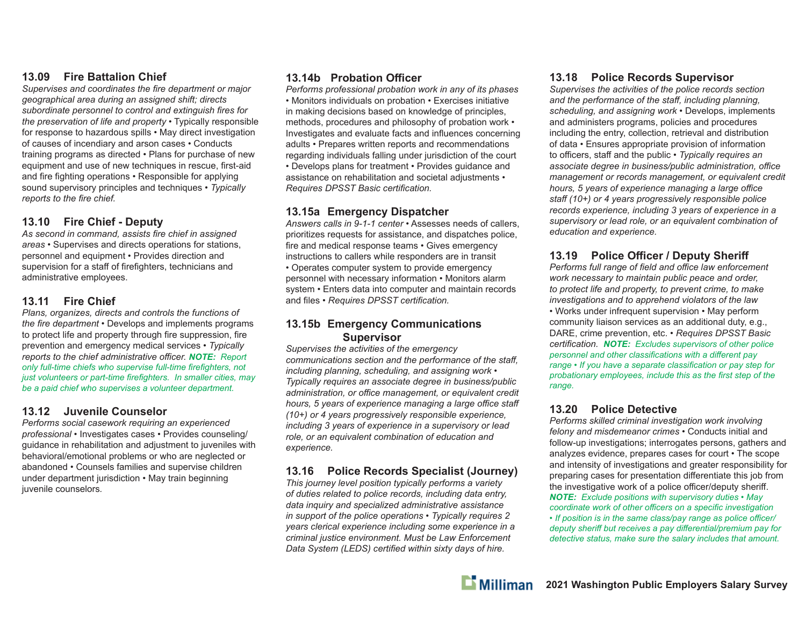### **13.09 Fire Battalion Chief**

Supervises and coordinates the fire department or major *geographical area during an assigned shift; directs*  subordinate personnel to control and extinguish fires for *the preservation of life and property* • Typically responsible for response to hazardous spills • May direct investigation of causes of incendiary and arson cases • Conducts training programs as directed • Plans for purchase of new equipment and use of new techniques in rescue, first-aid and fire fighting operations • Responsible for applying sound supervisory principles and techniques • *Typically reports to the fire chief.* 

### **13.10 Fire Chief - Deputy**

As second in command, assists fire chief in assigned *areas* • Supervises and directs operations for stations, personnel and equipment • Provides direction and supervision for a staff of firefighters, technicians and administrative employees.

### **13.11 Fire Chief**

*Plans, organizes, directs and controls the functions of the fire department* • Develops and implements programs to protect life and property through fire suppression, fire prevention and emergency medical services • *Typically reports to the chief administrative o ffi cer. NOTE: Report only full-time chiefs who supervise full-time fi refi ghters, not just volunteers or part-time firefighters. In smaller cities, may be a paid chief who supervises a volunteer department.*

### **13.12 Juvenile Counselor**

*Performs social casework requiring an experienced professional* • Investigates cases • Provides counseling/ guidance in rehabilitation and adjustment to juveniles with behavioral/emotional problems or who are neglected or abandoned • Counsels families and supervise children under department jurisdiction • May train beginning juvenile counselors*.*

### **13.14b Probation Offi cer**

*Performs professional probation work in any of its phases •* Monitors individuals on probation • Exercises initiative in making decisions based on knowledge of principles, methods, procedures and philosophy of probation work • Investigates and evaluate facts and influences concerning adults • Prepares written reports and recommendations regarding individuals falling under jurisdiction of the court • Develops plans for treatment • Provides guidance and assistance on rehabilitation and societal adjustments • *Requires DPSST Basic certifi cation.*

### **13.15a Emergency Dispatcher**

*Answers calls in 9-1-1 center* • Assesses needs of callers, prioritizes requests for assistance, and dispatches police, fire and medical response teams • Gives emergency instructions to callers while responders are in transit • Operates computer system to provide emergency personnel with necessary information • Monitors alarm system • Enters data into computer and maintain records and files • *Requires DPSST certification.* 

#### **13.15b Emergency Communications Supervisor**

*Supervises the activities of the emergency communications section and the performance of the sta ff , including planning, scheduling, and assigning work* • *Typically requires an associate degree in business/public administration, or o ffi ce management, or equivalent credit hours, 5 years of experience managing a large o ffi ce sta ff (10+) or 4 years progressively responsible experience, including 3 years of experience in a supervisory or lead role, or an equivalent combination of education and experience.*

### **13.16 Police Records Specialist (Journey)**

*This journey level position typically performs a variety of duties related to police records, including data entry, data inquiry and specialized administrative assistance in support of the police operations* • *Typically requires 2 years clerical experience including some experience in a criminal justice environment. Must be Law Enforcement Data System (LEDS) certified within sixty days of hire.* 

### **13.18 Police Records Supervisor**

*Supervises the activities of the police records section and the performance of the sta ff , including planning, scheduling, and assigning work* • Develops, implements and administers programs, policies and procedures including the entry, collection, retrieval and distribution of data • Ensures appropriate provision of information to officers, staff and the public • *Typically requires an associate degree in business/public administration, o ffi ce management or records management, or equivalent credit hours, 5 years of experience managing a large o ffi ce staff (10+) or 4 years progressively responsible police records experience, including 3 years of experience in a supervisory or lead role, or an equivalent combination of education and experience.*

### **13.19 Police Offi cer / Deputy Sheri ff**

*Performs full range of fi eld and o ffi ce law enforcement work necessary to maintain public peace and order, to protect life and property, to prevent crime, to make investigations and to apprehend violators of the law* • Works under infrequent supervision • May perform community liaison services as an additional duty, e.g., DARE, crime prevention, etc. • *Requires DPSST Basic certifi cation. NOTE: Excludes supervisors of other police personnel and other classifications with a different pay range • If you have a separate classification or pay step for probationary employees, include this as the first step of the range.*

### **13.20 Police Detective**

*Performs skilled criminal investigation work involving felony and misdemeanor crimes* • Conducts initial and follow-up investigations; interrogates persons, gathers and analyzes evidence, prepares cases for court • The scope and intensity of investigations and greater responsibility for preparing cases for presentation differentiate this job from the investigative work of a police officer/deputy sheriff. *NOTE: Exclude positions with supervisory duties • May coordinate work of other offi cers on a specifi c investigation • If position is in the same class/pay range as police o ffi cer/ deputy sheriff but receives a pay diff erential/premium pay for detective status, make sure the salary includes that amount.*